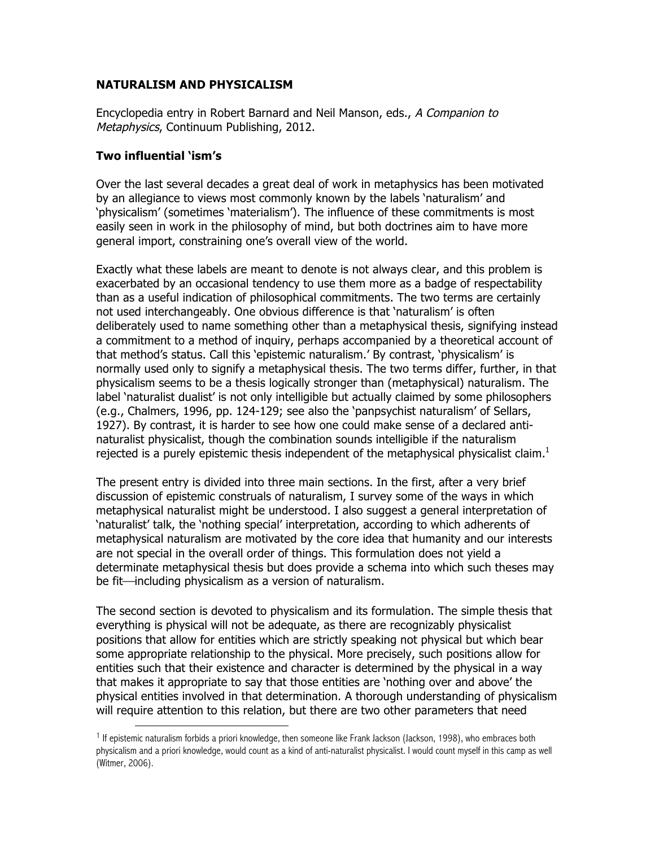## **NATURALISM AND PHYSICALISM**

Encyclopedia entry in Robert Barnard and Neil Manson, eds., A Companion to Metaphysics, Continuum Publishing, 2012.

## **Two influential 'ism's**

ı

Over the last several decades a great deal of work in metaphysics has been motivated by an allegiance to views most commonly known by the labels 'naturalism' and 'physicalism' (sometimes 'materialism'). The influence of these commitments is most easily seen in work in the philosophy of mind, but both doctrines aim to have more general import, constraining one's overall view of the world.

Exactly what these labels are meant to denote is not always clear, and this problem is exacerbated by an occasional tendency to use them more as a badge of respectability than as a useful indication of philosophical commitments. The two terms are certainly not used interchangeably. One obvious difference is that 'naturalism' is often deliberately used to name something other than a metaphysical thesis, signifying instead a commitment to a method of inquiry, perhaps accompanied by a theoretical account of that method's status. Call this 'epistemic naturalism.' By contrast, 'physicalism' is normally used only to signify a metaphysical thesis. The two terms differ, further, in that physicalism seems to be a thesis logically stronger than (metaphysical) naturalism. The label 'naturalist dualist' is not only intelligible but actually claimed by some philosophers (e.g., Chalmers, 1996, pp. 124-129; see also the 'panpsychist naturalism' of Sellars, 1927). By contrast, it is harder to see how one could make sense of a declared antinaturalist physicalist, though the combination sounds intelligible if the naturalism rejected is a purely epistemic thesis independent of the metaphysical physicalist claim.<sup>1</sup>

The present entry is divided into three main sections. In the first, after a very brief discussion of epistemic construals of naturalism, I survey some of the ways in which metaphysical naturalist might be understood. I also suggest a general interpretation of 'naturalist' talk, the 'nothing special' interpretation, according to which adherents of metaphysical naturalism are motivated by the core idea that humanity and our interests are not special in the overall order of things. This formulation does not yield a determinate metaphysical thesis but does provide a schema into which such theses may be fit—including physicalism as a version of naturalism.

The second section is devoted to physicalism and its formulation. The simple thesis that everything is physical will not be adequate, as there are recognizably physicalist positions that allow for entities which are strictly speaking not physical but which bear some appropriate relationship to the physical. More precisely, such positions allow for entities such that their existence and character is determined by the physical in a way that makes it appropriate to say that those entities are 'nothing over and above' the physical entities involved in that determination. A thorough understanding of physicalism will require attention to this relation, but there are two other parameters that need

 $1$  If epistemic naturalism forbids a priori knowledge, then someone like Frank Jackson (Jackson, 1998), who embraces both physicalism and a priori knowledge, would count as a kind of anti-naturalist physicalist. I would count myself in this camp as well (Witmer, 2006).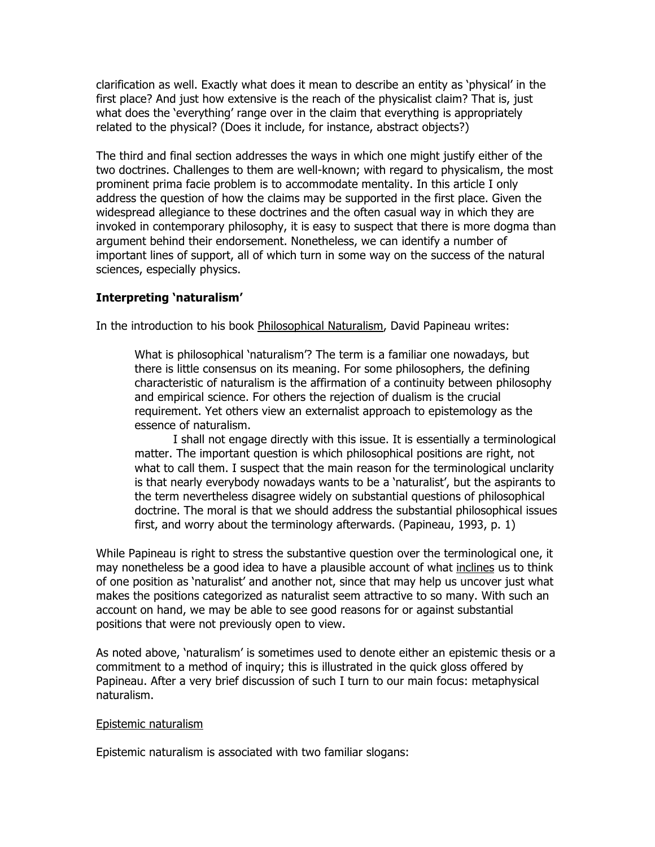clarification as well. Exactly what does it mean to describe an entity as 'physical' in the first place? And just how extensive is the reach of the physicalist claim? That is, just what does the 'everything' range over in the claim that everything is appropriately related to the physical? (Does it include, for instance, abstract objects?)

The third and final section addresses the ways in which one might justify either of the two doctrines. Challenges to them are well-known; with regard to physicalism, the most prominent prima facie problem is to accommodate mentality. In this article I only address the question of how the claims may be supported in the first place. Given the widespread allegiance to these doctrines and the often casual way in which they are invoked in contemporary philosophy, it is easy to suspect that there is more dogma than argument behind their endorsement. Nonetheless, we can identify a number of important lines of support, all of which turn in some way on the success of the natural sciences, especially physics.

# **Interpreting 'naturalism'**

In the introduction to his book Philosophical Naturalism, David Papineau writes:

What is philosophical 'naturalism'? The term is a familiar one nowadays, but there is little consensus on its meaning. For some philosophers, the defining characteristic of naturalism is the affirmation of a continuity between philosophy and empirical science. For others the rejection of dualism is the crucial requirement. Yet others view an externalist approach to epistemology as the essence of naturalism.

I shall not engage directly with this issue. It is essentially a terminological matter. The important question is which philosophical positions are right, not what to call them. I suspect that the main reason for the terminological unclarity is that nearly everybody nowadays wants to be a 'naturalist', but the aspirants to the term nevertheless disagree widely on substantial questions of philosophical doctrine. The moral is that we should address the substantial philosophical issues first, and worry about the terminology afterwards. (Papineau, 1993, p. 1)

While Papineau is right to stress the substantive question over the terminological one, it may nonetheless be a good idea to have a plausible account of what inclines us to think of one position as 'naturalist' and another not, since that may help us uncover just what makes the positions categorized as naturalist seem attractive to so many. With such an account on hand, we may be able to see good reasons for or against substantial positions that were not previously open to view.

As noted above, 'naturalism' is sometimes used to denote either an epistemic thesis or a commitment to a method of inquiry; this is illustrated in the quick gloss offered by Papineau. After a very brief discussion of such I turn to our main focus: metaphysical naturalism.

### Epistemic naturalism

Epistemic naturalism is associated with two familiar slogans: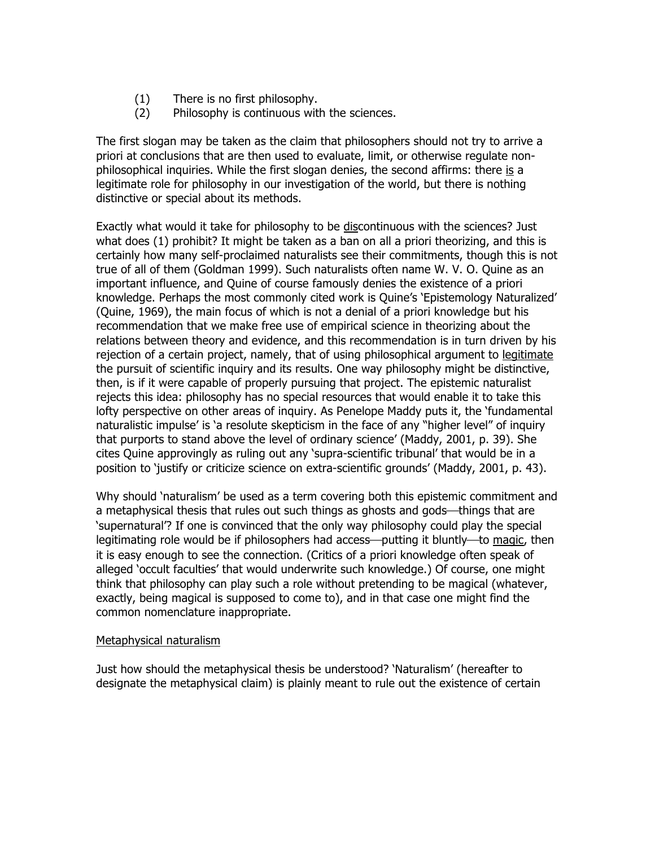- (1) There is no first philosophy.
- (2) Philosophy is continuous with the sciences.

The first slogan may be taken as the claim that philosophers should not try to arrive a priori at conclusions that are then used to evaluate, limit, or otherwise regulate nonphilosophical inquiries. While the first slogan denies, the second affirms: there is a legitimate role for philosophy in our investigation of the world, but there is nothing distinctive or special about its methods.

Exactly what would it take for philosophy to be discontinuous with the sciences? Just what does (1) prohibit? It might be taken as a ban on all a priori theorizing, and this is certainly how many self-proclaimed naturalists see their commitments, though this is not true of all of them (Goldman 1999). Such naturalists often name W. V. O. Quine as an important influence, and Quine of course famously denies the existence of a priori knowledge. Perhaps the most commonly cited work is Quine's 'Epistemology Naturalized' (Quine, 1969), the main focus of which is not a denial of a priori knowledge but his recommendation that we make free use of empirical science in theorizing about the relations between theory and evidence, and this recommendation is in turn driven by his rejection of a certain project, namely, that of using philosophical argument to legitimate the pursuit of scientific inquiry and its results. One way philosophy might be distinctive, then, is if it were capable of properly pursuing that project. The epistemic naturalist rejects this idea: philosophy has no special resources that would enable it to take this lofty perspective on other areas of inquiry. As Penelope Maddy puts it, the 'fundamental naturalistic impulse' is 'a resolute skepticism in the face of any "higher level" of inquiry that purports to stand above the level of ordinary science' (Maddy, 2001, p. 39). She cites Quine approvingly as ruling out any 'supra-scientific tribunal' that would be in a position to 'justify or criticize science on extra-scientific grounds' (Maddy, 2001, p. 43).

Why should 'naturalism' be used as a term covering both this epistemic commitment and a metaphysical thesis that rules out such things as ghosts and gods—things that are 'supernatural'? If one is convinced that the only way philosophy could play the special legitimating role would be if philosophers had access—putting it bluntly—to magic, then it is easy enough to see the connection. (Critics of a priori knowledge often speak of alleged 'occult faculties' that would underwrite such knowledge.) Of course, one might think that philosophy can play such a role without pretending to be magical (whatever, exactly, being magical is supposed to come to), and in that case one might find the common nomenclature inappropriate.

### Metaphysical naturalism

Just how should the metaphysical thesis be understood? 'Naturalism' (hereafter to designate the metaphysical claim) is plainly meant to rule out the existence of certain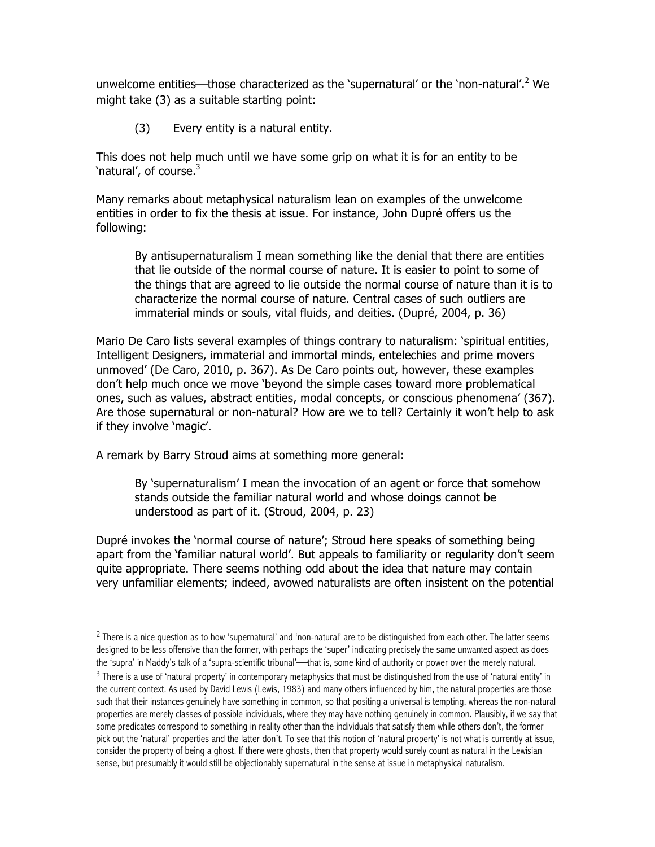unwelcome entities—those characterized as the 'supernatural' or the 'non-natural'.<sup>2</sup> We might take (3) as a suitable starting point:

(3) Every entity is a natural entity.

This does not help much until we have some grip on what it is for an entity to be 'natural', of course.<sup>3</sup>

Many remarks about metaphysical naturalism lean on examples of the unwelcome entities in order to fix the thesis at issue. For instance, John Dupré offers us the following:

By antisupernaturalism I mean something like the denial that there are entities that lie outside of the normal course of nature. It is easier to point to some of the things that are agreed to lie outside the normal course of nature than it is to characterize the normal course of nature. Central cases of such outliers are immaterial minds or souls, vital fluids, and deities. (Dupré, 2004, p. 36)

Mario De Caro lists several examples of things contrary to naturalism: 'spiritual entities, Intelligent Designers, immaterial and immortal minds, entelechies and prime movers unmoved' (De Caro, 2010, p. 367). As De Caro points out, however, these examples don't help much once we move 'beyond the simple cases toward more problematical ones, such as values, abstract entities, modal concepts, or conscious phenomena' (367). Are those supernatural or non-natural? How are we to tell? Certainly it won't help to ask if they involve 'magic'.

A remark by Barry Stroud aims at something more general:

i<br>L

By 'supernaturalism' I mean the invocation of an agent or force that somehow stands outside the familiar natural world and whose doings cannot be understood as part of it. (Stroud, 2004, p. 23)

Dupré invokes the 'normal course of nature'; Stroud here speaks of something being apart from the 'familiar natural world'. But appeals to familiarity or regularity don't seem quite appropriate. There seems nothing odd about the idea that nature may contain very unfamiliar elements; indeed, avowed naturalists are often insistent on the potential

 $2$  There is a nice question as to how 'supernatural' and 'non-natural' are to be distinguished from each other. The latter seems designed to be less offensive than the former, with perhaps the 'super' indicating precisely the same unwanted aspect as does the 'supra' in Maddy's talk of a 'supra-scientific tribunal'—that is, some kind of authority or power over the merely natural. <sup>3</sup> There is a use of 'natural property' in contemporary metaphysics that must be distinguished from the use of 'natural entity' in the current context. As used by David Lewis (Lewis, 1983) and many others influenced by him, the natural properties are those such that their instances genuinely have something in common, so that positing a universal is tempting, whereas the non-natural properties are merely classes of possible individuals, where they may have nothing genuinely in common. Plausibly, if we say that some predicates correspond to something in reality other than the individuals that satisfy them while others don't, the former pick out the 'natural' properties and the latter don't. To see that this notion of 'natural property' is not what is currently at issue, consider the property of being a ghost. If there were ghosts, then that property would surely count as natural in the Lewisian sense, but presumably it would still be objectionably supernatural in the sense at issue in metaphysical naturalism.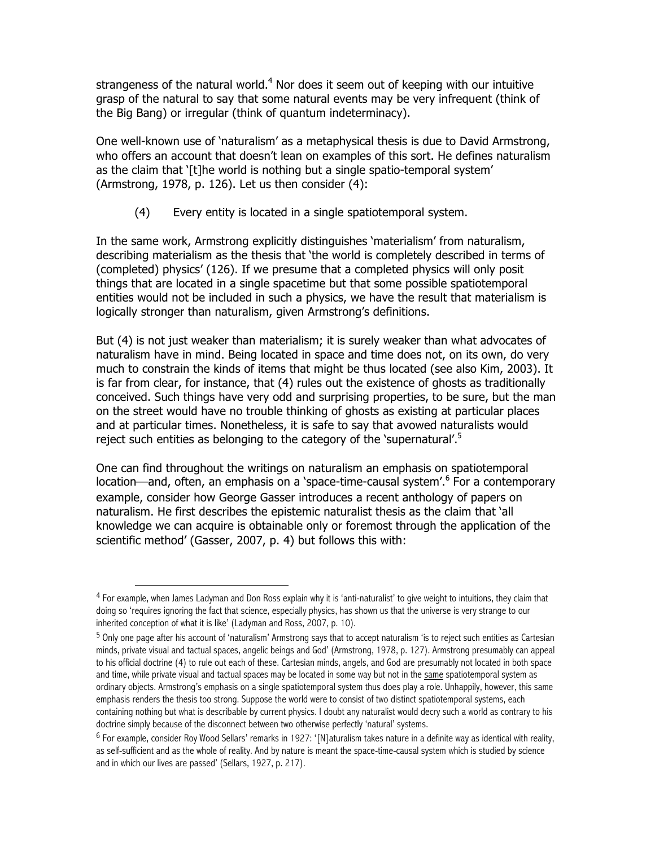strangeness of the natural world. $4$  Nor does it seem out of keeping with our intuitive grasp of the natural to say that some natural events may be very infrequent (think of the Big Bang) or irregular (think of quantum indeterminacy).

One well-known use of 'naturalism' as a metaphysical thesis is due to David Armstrong, who offers an account that doesn't lean on examples of this sort. He defines naturalism as the claim that '[t]he world is nothing but a single spatio-temporal system' (Armstrong, 1978, p. 126). Let us then consider (4):

(4) Every entity is located in a single spatiotemporal system.

In the same work, Armstrong explicitly distinguishes 'materialism' from naturalism, describing materialism as the thesis that 'the world is completely described in terms of (completed) physics' (126). If we presume that a completed physics will only posit things that are located in a single spacetime but that some possible spatiotemporal entities would not be included in such a physics, we have the result that materialism is logically stronger than naturalism, given Armstrong's definitions.

But (4) is not just weaker than materialism; it is surely weaker than what advocates of naturalism have in mind. Being located in space and time does not, on its own, do very much to constrain the kinds of items that might be thus located (see also Kim, 2003). It is far from clear, for instance, that (4) rules out the existence of ghosts as traditionally conceived. Such things have very odd and surprising properties, to be sure, but the man on the street would have no trouble thinking of ghosts as existing at particular places and at particular times. Nonetheless, it is safe to say that avowed naturalists would reject such entities as belonging to the category of the 'supernatural'.<sup>5</sup>

One can find throughout the writings on naturalism an emphasis on spatiotemporal location—and, often, an emphasis on a 'space-time-causal system'.<sup>6</sup> For a contemporary example, consider how George Gasser introduces a recent anthology of papers on naturalism. He first describes the epistemic naturalist thesis as the claim that 'all knowledge we can acquire is obtainable only or foremost through the application of the scientific method' (Gasser, 2007, p. 4) but follows this with:

ı

 $4$  For example, when James Ladyman and Don Ross explain why it is 'anti-naturalist' to give weight to intuitions, they claim that doing so 'requires ignoring the fact that science, especially physics, has shown us that the universe is very strange to our inherited conception of what it is like' (Ladyman and Ross, 2007, p. 10).

<sup>&</sup>lt;sup>5</sup> Only one page after his account of 'naturalism' Armstrong says that to accept naturalism 'is to reject such entities as Cartesian minds, private visual and tactual spaces, angelic beings and God' (Armstrong, 1978, p. 127). Armstrong presumably can appeal to his official doctrine (4) to rule out each of these. Cartesian minds, angels, and God are presumably not located in both space and time, while private visual and tactual spaces may be located in some way but not in the same spatiotemporal system as ordinary objects. Armstrong's emphasis on a single spatiotemporal system thus does play a role. Unhappily, however, this same emphasis renders the thesis too strong. Suppose the world were to consist of two distinct spatiotemporal systems, each containing nothing but what is describable by current physics. I doubt any naturalist would decry such a world as contrary to his doctrine simply because of the disconnect between two otherwise perfectly 'natural' systems.

 $6$  For example, consider Roy Wood Sellars' remarks in 1927: '[N]aturalism takes nature in a definite way as identical with reality, as self-sufficient and as the whole of reality. And by nature is meant the space-time-causal system which is studied by science and in which our lives are passed' (Sellars, 1927, p. 217).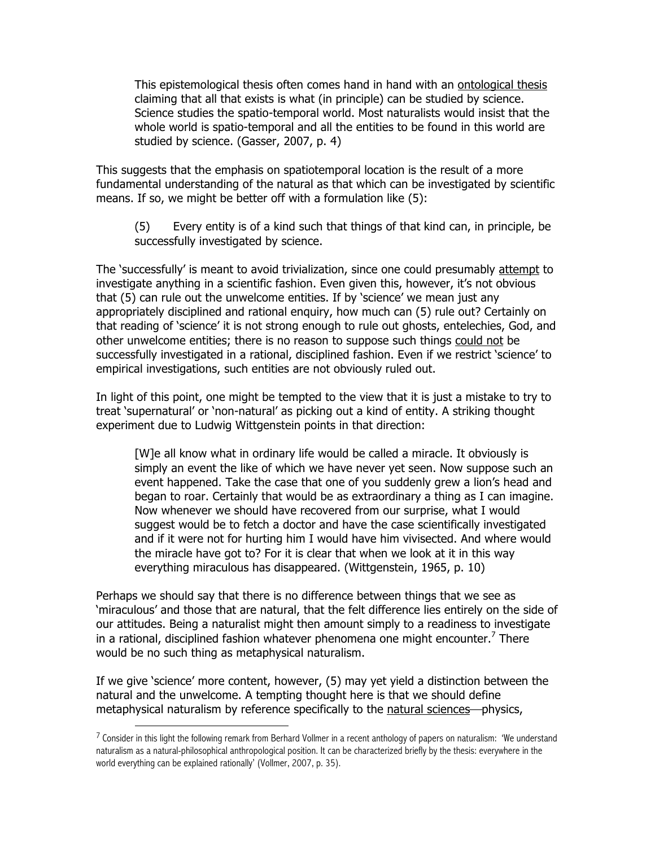This epistemological thesis often comes hand in hand with an ontological thesis claiming that all that exists is what (in principle) can be studied by science. Science studies the spatio-temporal world. Most naturalists would insist that the whole world is spatio-temporal and all the entities to be found in this world are studied by science. (Gasser, 2007, p. 4)

This suggests that the emphasis on spatiotemporal location is the result of a more fundamental understanding of the natural as that which can be investigated by scientific means. If so, we might be better off with a formulation like (5):

(5) Every entity is of a kind such that things of that kind can, in principle, be successfully investigated by science.

The 'successfully' is meant to avoid trivialization, since one could presumably attempt to investigate anything in a scientific fashion. Even given this, however, it's not obvious that (5) can rule out the unwelcome entities. If by 'science' we mean just any appropriately disciplined and rational enquiry, how much can (5) rule out? Certainly on that reading of 'science' it is not strong enough to rule out ghosts, entelechies, God, and other unwelcome entities; there is no reason to suppose such things could not be successfully investigated in a rational, disciplined fashion. Even if we restrict 'science' to empirical investigations, such entities are not obviously ruled out.

In light of this point, one might be tempted to the view that it is just a mistake to try to treat 'supernatural' or 'non-natural' as picking out a kind of entity. A striking thought experiment due to Ludwig Wittgenstein points in that direction:

[W]e all know what in ordinary life would be called a miracle. It obviously is simply an event the like of which we have never yet seen. Now suppose such an event happened. Take the case that one of you suddenly grew a lion's head and began to roar. Certainly that would be as extraordinary a thing as I can imagine. Now whenever we should have recovered from our surprise, what I would suggest would be to fetch a doctor and have the case scientifically investigated and if it were not for hurting him I would have him vivisected. And where would the miracle have got to? For it is clear that when we look at it in this way everything miraculous has disappeared. (Wittgenstein, 1965, p. 10)

Perhaps we should say that there is no difference between things that we see as 'miraculous' and those that are natural, that the felt difference lies entirely on the side of our attitudes. Being a naturalist might then amount simply to a readiness to investigate in a rational, disciplined fashion whatever phenomena one might encounter.<sup>7</sup> There would be no such thing as metaphysical naturalism.

If we give 'science' more content, however, (5) may yet yield a distinction between the natural and the unwelcome. A tempting thought here is that we should define metaphysical naturalism by reference specifically to the natural sciences—physics,

ı

 $7$  Consider in this light the following remark from Berhard Vollmer in a recent anthology of papers on naturalism: 'We understand naturalism as a natural-philosophical anthropological position. It can be characterized briefly by the thesis: everywhere in the world everything can be explained rationally' (Vollmer, 2007, p. 35).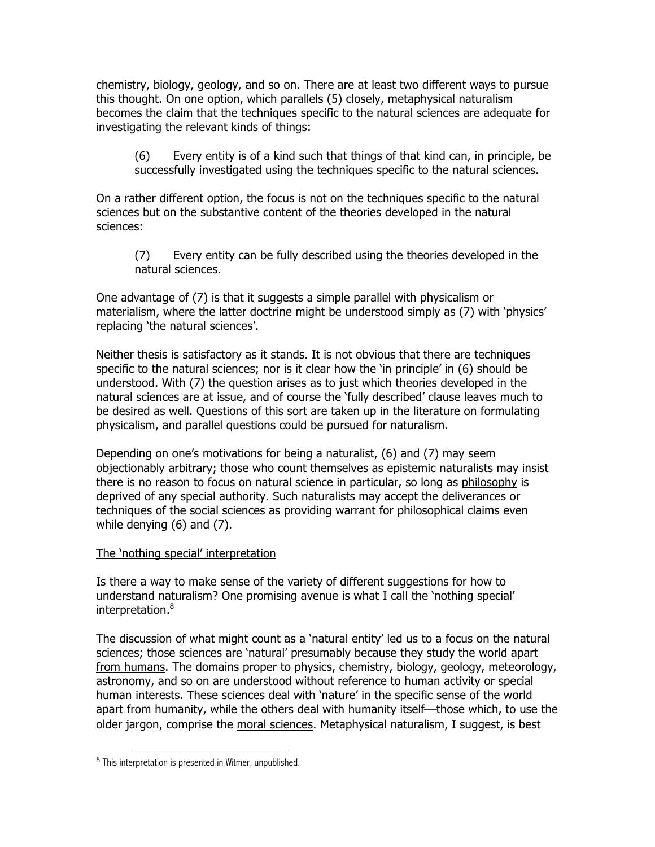chemistry, biology, geology, and so on. There are at least two different ways to pursue this thought. On one option, which parallels (5) closely, metaphysical naturalism becomes the claim that the techniques specific to the natural sciences are adequate for investigating the relevant kinds of things:

(6) Every entity is of a kind such that things of that kind can, in principle, be successfully investigated using the techniques specific to the natural sciences.

On a rather different option, the focus is not on the techniques specific to the natural sciences but on the substantive content of the theories developed in the natural sciences:

(7) Every entity can be fully described using the theories developed in the natural sciences.

One advantage of (7) is that it suggests a simple parallel with physicalism or materialism, where the latter doctrine might be understood simply as (7) with 'physics' replacing 'the natural sciences'.

Neither thesis is satisfactory as it stands. It is not obvious that there are techniques specific to the natural sciences; nor is it clear how the 'in principle' in (6) should be understood. With (7) the question arises as to just which theories developed in the natural sciences are at issue, and of course the 'fully described' clause leaves much to be desired as well. Questions of this sort are taken up in the literature on formulating physicalism, and parallel questions could be pursued for naturalism.

Depending on one's motivations for being a naturalist, (6) and (7) may seem objectionably arbitrary; those who count themselves as epistemic naturalists may insist there is no reason to focus on natural science in particular, so long as philosophy is deprived of any special authority. Such naturalists may accept the deliverances or techniques of the social sciences as providing warrant for philosophical claims even while denying (6) and (7).

## The 'nothing special' interpretation

Is there a way to make sense of the variety of different suggestions for how to understand naturalism? One promising avenue is what I call the 'nothing special' interpretation.<sup>8</sup>

The discussion of what might count as a 'natural entity' led us to a focus on the natural sciences; those sciences are 'natural' presumably because they study the world apart from humans. The domains proper to physics, chemistry, biology, geology, meteorology, astronomy, and so on are understood without reference to human activity or special human interests. These sciences deal with 'nature' in the specific sense of the world apart from humanity, while the others deal with humanity itself—those which, to use the older jargon, comprise the moral sciences. Metaphysical naturalism, I suggest, is best

<sup>8</sup> This interpretation is presented in Witmer, unpublished.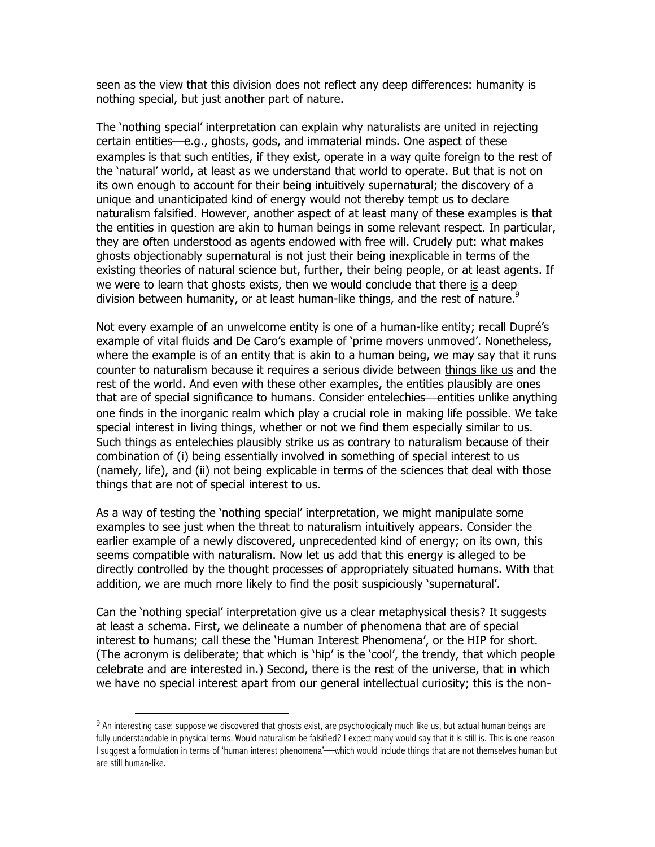seen as the view that this division does not reflect any deep differences: humanity is nothing special, but just another part of nature.

The 'nothing special' interpretation can explain why naturalists are united in rejecting certain entities—e.g., ghosts, gods, and immaterial minds. One aspect of these examples is that such entities, if they exist, operate in a way quite foreign to the rest of the 'natural' world, at least as we understand that world to operate. But that is not on its own enough to account for their being intuitively supernatural; the discovery of a unique and unanticipated kind of energy would not thereby tempt us to declare naturalism falsified. However, another aspect of at least many of these examples is that the entities in question are akin to human beings in some relevant respect. In particular, they are often understood as agents endowed with free will. Crudely put: what makes ghosts objectionably supernatural is not just their being inexplicable in terms of the existing theories of natural science but, further, their being people, or at least agents. If we were to learn that ghosts exists, then we would conclude that there is a deep division between humanity, or at least human-like things, and the rest of nature.<sup>9</sup>

Not every example of an unwelcome entity is one of a human-like entity; recall Dupré's example of vital fluids and De Caro's example of 'prime movers unmoved'. Nonetheless, where the example is of an entity that is akin to a human being, we may say that it runs counter to naturalism because it requires a serious divide between things like us and the rest of the world. And even with these other examples, the entities plausibly are ones that are of special significance to humans. Consider entelechies—entities unlike anything one finds in the inorganic realm which play a crucial role in making life possible. We take special interest in living things, whether or not we find them especially similar to us. Such things as entelechies plausibly strike us as contrary to naturalism because of their combination of (i) being essentially involved in something of special interest to us (namely, life), and (ii) not being explicable in terms of the sciences that deal with those things that are not of special interest to us.

As a way of testing the 'nothing special' interpretation, we might manipulate some examples to see just when the threat to naturalism intuitively appears. Consider the earlier example of a newly discovered, unprecedented kind of energy; on its own, this seems compatible with naturalism. Now let us add that this energy is alleged to be directly controlled by the thought processes of appropriately situated humans. With that addition, we are much more likely to find the posit suspiciously 'supernatural'.

Can the 'nothing special' interpretation give us a clear metaphysical thesis? It suggests at least a schema. First, we delineate a number of phenomena that are of special interest to humans; call these the 'Human Interest Phenomena', or the HIP for short. (The acronym is deliberate; that which is 'hip' is the 'cool', the trendy, that which people celebrate and are interested in.) Second, there is the rest of the universe, that in which we have no special interest apart from our general intellectual curiosity; this is the non-

 $9$  An interesting case: suppose we discovered that ghosts exist, are psychologically much like us, but actual human beings are fully understandable in physical terms. Would naturalism be falsified? I expect many would say that it is still is. This is one reason I suggest a formulation in terms of 'human interest phenomena'—which would include things that are not themselves human but are still human-like.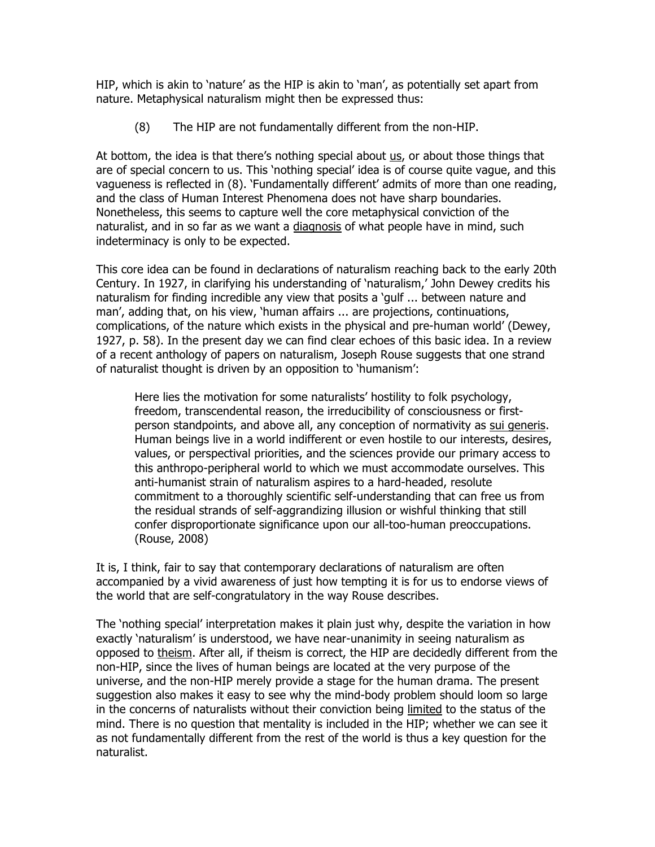HIP, which is akin to 'nature' as the HIP is akin to 'man', as potentially set apart from nature. Metaphysical naturalism might then be expressed thus:

(8) The HIP are not fundamentally different from the non-HIP.

At bottom, the idea is that there's nothing special about us, or about those things that are of special concern to us. This 'nothing special' idea is of course quite vague, and this vagueness is reflected in (8). 'Fundamentally different' admits of more than one reading, and the class of Human Interest Phenomena does not have sharp boundaries. Nonetheless, this seems to capture well the core metaphysical conviction of the naturalist, and in so far as we want a diagnosis of what people have in mind, such indeterminacy is only to be expected.

This core idea can be found in declarations of naturalism reaching back to the early 20th Century. In 1927, in clarifying his understanding of 'naturalism,' John Dewey credits his naturalism for finding incredible any view that posits a 'gulf ... between nature and man', adding that, on his view, 'human affairs ... are projections, continuations, complications, of the nature which exists in the physical and pre-human world' (Dewey, 1927, p. 58). In the present day we can find clear echoes of this basic idea. In a review of a recent anthology of papers on naturalism, Joseph Rouse suggests that one strand of naturalist thought is driven by an opposition to 'humanism':

Here lies the motivation for some naturalists' hostility to folk psychology, freedom, transcendental reason, the irreducibility of consciousness or firstperson standpoints, and above all, any conception of normativity as sui generis. Human beings live in a world indifferent or even hostile to our interests, desires, values, or perspectival priorities, and the sciences provide our primary access to this anthropo-peripheral world to which we must accommodate ourselves. This anti-humanist strain of naturalism aspires to a hard-headed, resolute commitment to a thoroughly scientific self-understanding that can free us from the residual strands of self-aggrandizing illusion or wishful thinking that still confer disproportionate significance upon our all-too-human preoccupations. (Rouse, 2008)

It is, I think, fair to say that contemporary declarations of naturalism are often accompanied by a vivid awareness of just how tempting it is for us to endorse views of the world that are self-congratulatory in the way Rouse describes.

The 'nothing special' interpretation makes it plain just why, despite the variation in how exactly 'naturalism' is understood, we have near-unanimity in seeing naturalism as opposed to theism. After all, if theism is correct, the HIP are decidedly different from the non-HIP, since the lives of human beings are located at the very purpose of the universe, and the non-HIP merely provide a stage for the human drama. The present suggestion also makes it easy to see why the mind-body problem should loom so large in the concerns of naturalists without their conviction being limited to the status of the mind. There is no question that mentality is included in the HIP; whether we can see it as not fundamentally different from the rest of the world is thus a key question for the naturalist.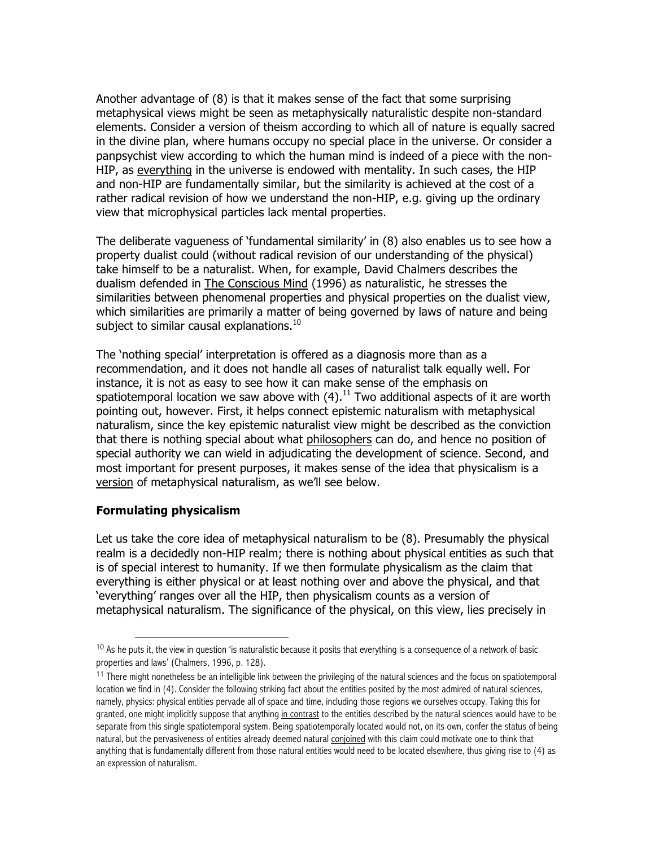Another advantage of (8) is that it makes sense of the fact that some surprising metaphysical views might be seen as metaphysically naturalistic despite non-standard elements. Consider a version of theism according to which all of nature is equally sacred in the divine plan, where humans occupy no special place in the universe. Or consider a panpsychist view according to which the human mind is indeed of a piece with the non-HIP, as everything in the universe is endowed with mentality. In such cases, the HIP and non-HIP are fundamentally similar, but the similarity is achieved at the cost of a rather radical revision of how we understand the non-HIP, e.g. giving up the ordinary view that microphysical particles lack mental properties.

The deliberate vagueness of 'fundamental similarity' in (8) also enables us to see how a property dualist could (without radical revision of our understanding of the physical) take himself to be a naturalist. When, for example, David Chalmers describes the dualism defended in The Conscious Mind (1996) as naturalistic, he stresses the similarities between phenomenal properties and physical properties on the dualist view, which similarities are primarily a matter of being governed by laws of nature and being subject to similar causal explanations.<sup>10</sup>

The 'nothing special' interpretation is offered as a diagnosis more than as a recommendation, and it does not handle all cases of naturalist talk equally well. For instance, it is not as easy to see how it can make sense of the emphasis on spatiotemporal location we saw above with  $(4)$ .<sup>11</sup> Two additional aspects of it are worth pointing out, however. First, it helps connect epistemic naturalism with metaphysical naturalism, since the key epistemic naturalist view might be described as the conviction that there is nothing special about what philosophers can do, and hence no position of special authority we can wield in adjudicating the development of science. Second, and most important for present purposes, it makes sense of the idea that physicalism is a version of metaphysical naturalism, as we'll see below.

## **Formulating physicalism**

i<br>L

Let us take the core idea of metaphysical naturalism to be (8). Presumably the physical realm is a decidedly non-HIP realm; there is nothing about physical entities as such that is of special interest to humanity. If we then formulate physicalism as the claim that everything is either physical or at least nothing over and above the physical, and that 'everything' ranges over all the HIP, then physicalism counts as a version of metaphysical naturalism. The significance of the physical, on this view, lies precisely in

 $10$  As he puts it, the view in question 'is naturalistic because it posits that everything is a consequence of a network of basic properties and laws' (Chalmers, 1996, p. 128).

<sup>&</sup>lt;sup>11</sup> There might nonetheless be an intelligible link between the privileging of the natural sciences and the focus on spatiotemporal location we find in (4). Consider the following striking fact about the entities posited by the most admired of natural sciences, namely, physics: physical entities pervade all of space and time, including those regions we ourselves occupy. Taking this for granted, one might implicitly suppose that anything in contrast to the entities described by the natural sciences would have to be separate from this single spatiotemporal system. Being spatiotemporally located would not, on its own, confer the status of being natural, but the pervasiveness of entities already deemed natural conjoined with this claim could motivate one to think that anything that is fundamentally different from those natural entities would need to be located elsewhere, thus giving rise to (4) as an expression of naturalism.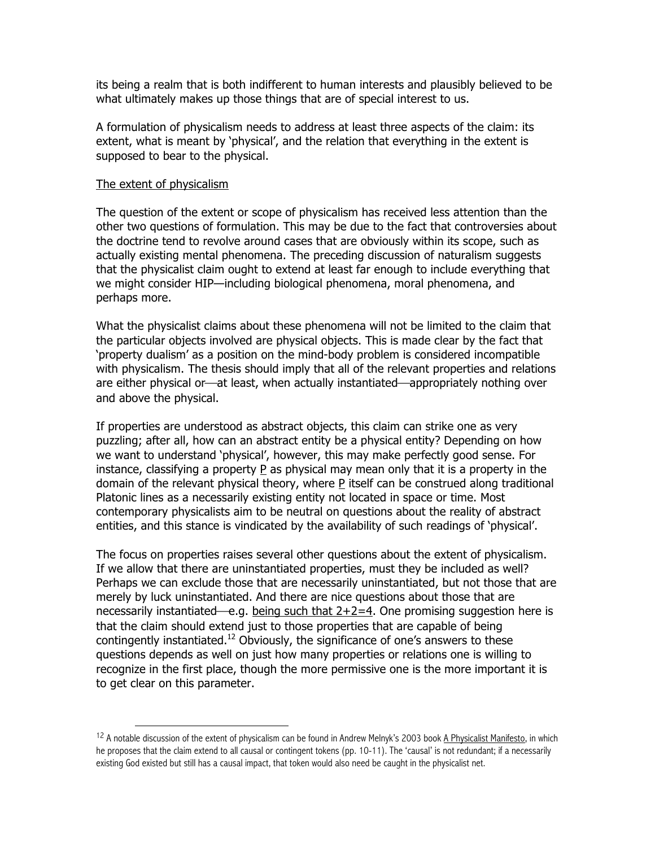its being a realm that is both indifferent to human interests and plausibly believed to be what ultimately makes up those things that are of special interest to us.

A formulation of physicalism needs to address at least three aspects of the claim: its extent, what is meant by 'physical', and the relation that everything in the extent is supposed to bear to the physical.

#### The extent of physicalism

ı

The question of the extent or scope of physicalism has received less attention than the other two questions of formulation. This may be due to the fact that controversies about the doctrine tend to revolve around cases that are obviously within its scope, such as actually existing mental phenomena. The preceding discussion of naturalism suggests that the physicalist claim ought to extend at least far enough to include everything that we might consider HIP—including biological phenomena, moral phenomena, and perhaps more.

What the physicalist claims about these phenomena will not be limited to the claim that the particular objects involved are physical objects. This is made clear by the fact that 'property dualism' as a position on the mind-body problem is considered incompatible with physicalism. The thesis should imply that all of the relevant properties and relations are either physical or—at least, when actually instantiated—appropriately nothing over and above the physical.

If properties are understood as abstract objects, this claim can strike one as very puzzling; after all, how can an abstract entity be a physical entity? Depending on how we want to understand 'physical', however, this may make perfectly good sense. For instance, classifying a property  $P$  as physical may mean only that it is a property in the domain of the relevant physical theory, where P itself can be construed along traditional Platonic lines as a necessarily existing entity not located in space or time. Most contemporary physicalists aim to be neutral on questions about the reality of abstract entities, and this stance is vindicated by the availability of such readings of 'physical'.

The focus on properties raises several other questions about the extent of physicalism. If we allow that there are uninstantiated properties, must they be included as well? Perhaps we can exclude those that are necessarily uninstantiated, but not those that are merely by luck uninstantiated. And there are nice questions about those that are necessarily instantiated—e.g. being such that  $2+2=4$ . One promising suggestion here is that the claim should extend just to those properties that are capable of being contingently instantiated.<sup>12</sup> Obviously, the significance of one's answers to these questions depends as well on just how many properties or relations one is willing to recognize in the first place, though the more permissive one is the more important it is to get clear on this parameter.

 $12$  A notable discussion of the extent of physicalism can be found in Andrew Melnyk's 2003 book A Physicalist Manifesto, in which he proposes that the claim extend to all causal or contingent tokens (pp. 10-11). The 'causal' is not redundant; if a necessarily existing God existed but still has a causal impact, that token would also need be caught in the physicalist net.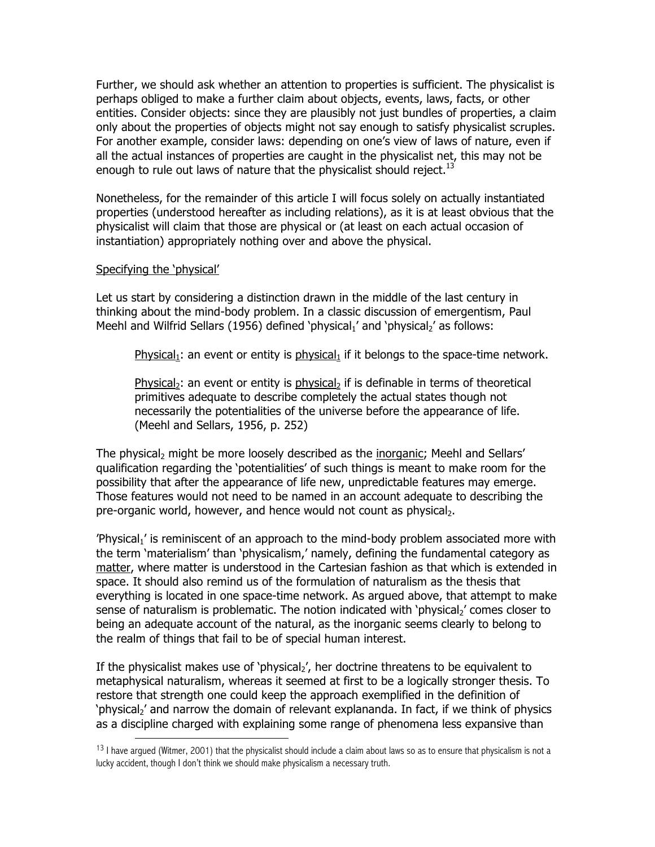Further, we should ask whether an attention to properties is sufficient. The physicalist is perhaps obliged to make a further claim about objects, events, laws, facts, or other entities. Consider objects: since they are plausibly not just bundles of properties, a claim only about the properties of objects might not say enough to satisfy physicalist scruples. For another example, consider laws: depending on one's view of laws of nature, even if all the actual instances of properties are caught in the physicalist net, this may not be enough to rule out laws of nature that the physicalist should reject.<sup>13</sup>

Nonetheless, for the remainder of this article I will focus solely on actually instantiated properties (understood hereafter as including relations), as it is at least obvious that the physicalist will claim that those are physical or (at least on each actual occasion of instantiation) appropriately nothing over and above the physical.

### Specifying the 'physical'

i<br>L

Let us start by considering a distinction drawn in the middle of the last century in thinking about the mind-body problem. In a classic discussion of emergentism, Paul Meehl and Wilfrid Sellars (1956) defined 'physical<sub>1</sub>' and 'physical<sub>2</sub>' as follows:

Physical<sub>1</sub>: an event or entity is physical<sub>1</sub> if it belongs to the space-time network.

Physical<sub>2</sub>: an event or entity is physical<sub>2</sub> if is definable in terms of theoretical primitives adequate to describe completely the actual states though not necessarily the potentialities of the universe before the appearance of life. (Meehl and Sellars, 1956, p. 252)

The physical<sub>2</sub> might be more loosely described as the inorganic; Meehl and Sellars' qualification regarding the 'potentialities' of such things is meant to make room for the possibility that after the appearance of life new, unpredictable features may emerge. Those features would not need to be named in an account adequate to describing the pre-organic world, however, and hence would not count as physical.

 $\gamma$ Physical<sub>1</sub>' is reminiscent of an approach to the mind-body problem associated more with the term 'materialism' than 'physicalism,' namely, defining the fundamental category as matter, where matter is understood in the Cartesian fashion as that which is extended in space. It should also remind us of the formulation of naturalism as the thesis that everything is located in one space-time network. As argued above, that attempt to make sense of naturalism is problematic. The notion indicated with 'physical $_2$ ' comes closer to being an adequate account of the natural, as the inorganic seems clearly to belong to the realm of things that fail to be of special human interest.

If the physicalist makes use of 'physical<sub>2</sub>', her doctrine threatens to be equivalent to metaphysical naturalism, whereas it seemed at first to be a logically stronger thesis. To restore that strength one could keep the approach exemplified in the definition of 'physical<sub>2</sub>' and narrow the domain of relevant explananda. In fact, if we think of physics as a discipline charged with explaining some range of phenomena less expansive than

 $13$  I have argued (Witmer, 2001) that the physicalist should include a claim about laws so as to ensure that physicalism is not a lucky accident, though I don't think we should make physicalism a necessary truth.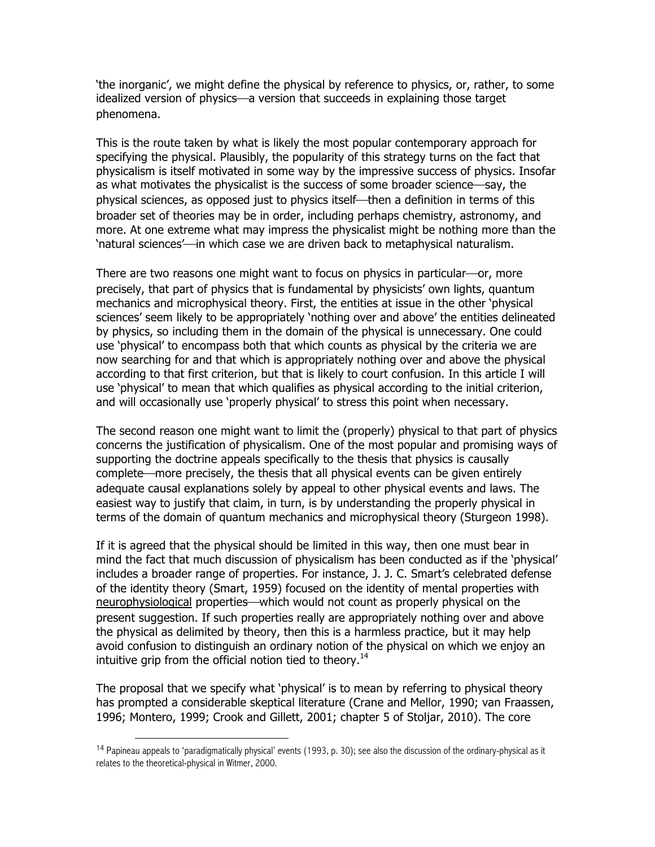'the inorganic', we might define the physical by reference to physics, or, rather, to some idealized version of physics—a version that succeeds in explaining those target phenomena.

This is the route taken by what is likely the most popular contemporary approach for specifying the physical. Plausibly, the popularity of this strategy turns on the fact that physicalism is itself motivated in some way by the impressive success of physics. Insofar as what motivates the physicalist is the success of some broader science—say, the physical sciences, as opposed just to physics itself—then a definition in terms of this broader set of theories may be in order, including perhaps chemistry, astronomy, and more. At one extreme what may impress the physicalist might be nothing more than the 'natural sciences'⎯in which case we are driven back to metaphysical naturalism.

There are two reasons one might want to focus on physics in particular—or, more precisely, that part of physics that is fundamental by physicists' own lights, quantum mechanics and microphysical theory. First, the entities at issue in the other 'physical sciences' seem likely to be appropriately 'nothing over and above' the entities delineated by physics, so including them in the domain of the physical is unnecessary. One could use 'physical' to encompass both that which counts as physical by the criteria we are now searching for and that which is appropriately nothing over and above the physical according to that first criterion, but that is likely to court confusion. In this article I will use 'physical' to mean that which qualifies as physical according to the initial criterion, and will occasionally use 'properly physical' to stress this point when necessary.

The second reason one might want to limit the (properly) physical to that part of physics concerns the justification of physicalism. One of the most popular and promising ways of supporting the doctrine appeals specifically to the thesis that physics is causally complete—more precisely, the thesis that all physical events can be given entirely adequate causal explanations solely by appeal to other physical events and laws. The easiest way to justify that claim, in turn, is by understanding the properly physical in terms of the domain of quantum mechanics and microphysical theory (Sturgeon 1998).

If it is agreed that the physical should be limited in this way, then one must bear in mind the fact that much discussion of physicalism has been conducted as if the 'physical' includes a broader range of properties. For instance, J. J. C. Smart's celebrated defense of the identity theory (Smart, 1959) focused on the identity of mental properties with neurophysiological properties—which would not count as properly physical on the present suggestion. If such properties really are appropriately nothing over and above the physical as delimited by theory, then this is a harmless practice, but it may help avoid confusion to distinguish an ordinary notion of the physical on which we enjoy an intuitive grip from the official notion tied to theory.<sup>14</sup>

The proposal that we specify what 'physical' is to mean by referring to physical theory has prompted a considerable skeptical literature (Crane and Mellor, 1990; van Fraassen, 1996; Montero, 1999; Crook and Gillett, 2001; chapter 5 of Stoljar, 2010). The core

<sup>14</sup> Papineau appeals to 'paradigmatically physical' events (1993, p. 30); see also the discussion of the ordinary-physical as it relates to the theoretical-physical in Witmer, 2000.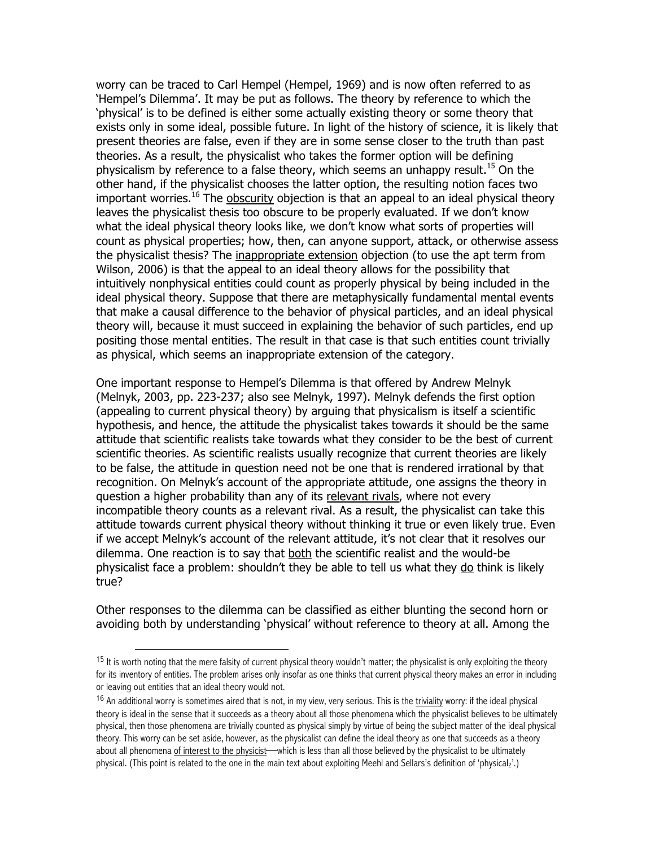worry can be traced to Carl Hempel (Hempel, 1969) and is now often referred to as 'Hempel's Dilemma'. It may be put as follows. The theory by reference to which the 'physical' is to be defined is either some actually existing theory or some theory that exists only in some ideal, possible future. In light of the history of science, it is likely that present theories are false, even if they are in some sense closer to the truth than past theories. As a result, the physicalist who takes the former option will be defining physicalism by reference to a false theory, which seems an unhappy result.<sup>15</sup> On the other hand, if the physicalist chooses the latter option, the resulting notion faces two important worries.<sup>16</sup> The obscurity objection is that an appeal to an ideal physical theory leaves the physicalist thesis too obscure to be properly evaluated. If we don't know what the ideal physical theory looks like, we don't know what sorts of properties will count as physical properties; how, then, can anyone support, attack, or otherwise assess the physicalist thesis? The inappropriate extension objection (to use the apt term from Wilson, 2006) is that the appeal to an ideal theory allows for the possibility that intuitively nonphysical entities could count as properly physical by being included in the ideal physical theory. Suppose that there are metaphysically fundamental mental events that make a causal difference to the behavior of physical particles, and an ideal physical theory will, because it must succeed in explaining the behavior of such particles, end up positing those mental entities. The result in that case is that such entities count trivially as physical, which seems an inappropriate extension of the category.

One important response to Hempel's Dilemma is that offered by Andrew Melnyk (Melnyk, 2003, pp. 223-237; also see Melnyk, 1997). Melnyk defends the first option (appealing to current physical theory) by arguing that physicalism is itself a scientific hypothesis, and hence, the attitude the physicalist takes towards it should be the same attitude that scientific realists take towards what they consider to be the best of current scientific theories. As scientific realists usually recognize that current theories are likely to be false, the attitude in question need not be one that is rendered irrational by that recognition. On Melnyk's account of the appropriate attitude, one assigns the theory in question a higher probability than any of its relevant rivals, where not every incompatible theory counts as a relevant rival. As a result, the physicalist can take this attitude towards current physical theory without thinking it true or even likely true. Even if we accept Melnyk's account of the relevant attitude, it's not clear that it resolves our dilemma. One reaction is to say that both the scientific realist and the would-be physicalist face a problem: shouldn't they be able to tell us what they do think is likely true?

Other responses to the dilemma can be classified as either blunting the second horn or avoiding both by understanding 'physical' without reference to theory at all. Among the

 $15$  It is worth noting that the mere falsity of current physical theory wouldn't matter; the physicalist is only exploiting the theory for its inventory of entities. The problem arises only insofar as one thinks that current physical theory makes an error in including or leaving out entities that an ideal theory would not.

 $16$  An additional worry is sometimes aired that is not, in my view, very serious. This is the triviality worry: if the ideal physical theory is ideal in the sense that it succeeds as a theory about all those phenomena which the physicalist believes to be ultimately physical, then those phenomena are trivially counted as physical simply by virtue of being the subject matter of the ideal physical theory. This worry can be set aside, however, as the physicalist can define the ideal theory as one that succeeds as a theory about all phenomena of interest to the physicist—which is less than all those believed by the physicalist to be ultimately physical. (This point is related to the one in the main text about exploiting Meehl and Sellars's definition of 'physical<sub>2</sub>'.)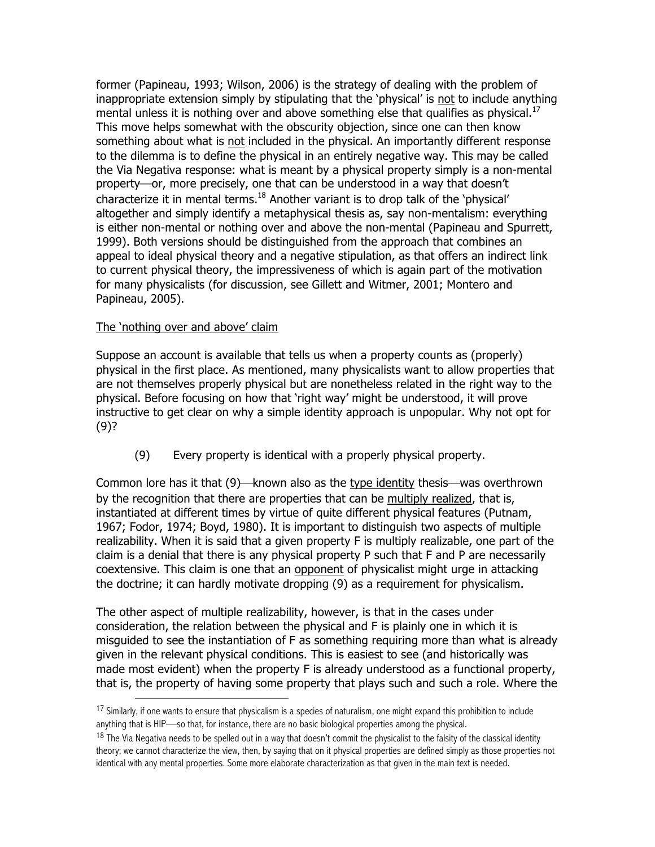former (Papineau, 1993; Wilson, 2006) is the strategy of dealing with the problem of inappropriate extension simply by stipulating that the 'physical' is not to include anything mental unless it is nothing over and above something else that qualifies as physical.<sup>17</sup> This move helps somewhat with the obscurity objection, since one can then know something about what is not included in the physical. An importantly different response to the dilemma is to define the physical in an entirely negative way. This may be called the Via Negativa response: what is meant by a physical property simply is a non-mental property-or, more precisely, one that can be understood in a way that doesn't characterize it in mental terms.18 Another variant is to drop talk of the 'physical' altogether and simply identify a metaphysical thesis as, say non-mentalism: everything is either non-mental or nothing over and above the non-mental (Papineau and Spurrett, 1999). Both versions should be distinguished from the approach that combines an appeal to ideal physical theory and a negative stipulation, as that offers an indirect link to current physical theory, the impressiveness of which is again part of the motivation for many physicalists (for discussion, see Gillett and Witmer, 2001; Montero and Papineau, 2005).

### The 'nothing over and above' claim

i<br>L

Suppose an account is available that tells us when a property counts as (properly) physical in the first place. As mentioned, many physicalists want to allow properties that are not themselves properly physical but are nonetheless related in the right way to the physical. Before focusing on how that 'right way' might be understood, it will prove instructive to get clear on why a simple identity approach is unpopular. Why not opt for (9)?

(9) Every property is identical with a properly physical property.

Common lore has it that (9)—known also as the type identity thesis—was overthrown by the recognition that there are properties that can be multiply realized, that is, instantiated at different times by virtue of quite different physical features (Putnam, 1967; Fodor, 1974; Boyd, 1980). It is important to distinguish two aspects of multiple realizability. When it is said that a given property F is multiply realizable, one part of the claim is a denial that there is any physical property P such that F and P are necessarily coextensive. This claim is one that an opponent of physicalist might urge in attacking the doctrine; it can hardly motivate dropping (9) as a requirement for physicalism.

The other aspect of multiple realizability, however, is that in the cases under consideration, the relation between the physical and F is plainly one in which it is misguided to see the instantiation of F as something requiring more than what is already given in the relevant physical conditions. This is easiest to see (and historically was made most evident) when the property F is already understood as a functional property, that is, the property of having some property that plays such and such a role. Where the

 $17$  Similarly, if one wants to ensure that physicalism is a species of naturalism, one might expand this prohibition to include anything that is HIP—so that, for instance, there are no basic biological properties among the physical.

 $18$  The Via Negativa needs to be spelled out in a way that doesn't commit the physicalist to the falsity of the classical identity theory; we cannot characterize the view, then, by saying that on it physical properties are defined simply as those properties not identical with any mental properties. Some more elaborate characterization as that given in the main text is needed.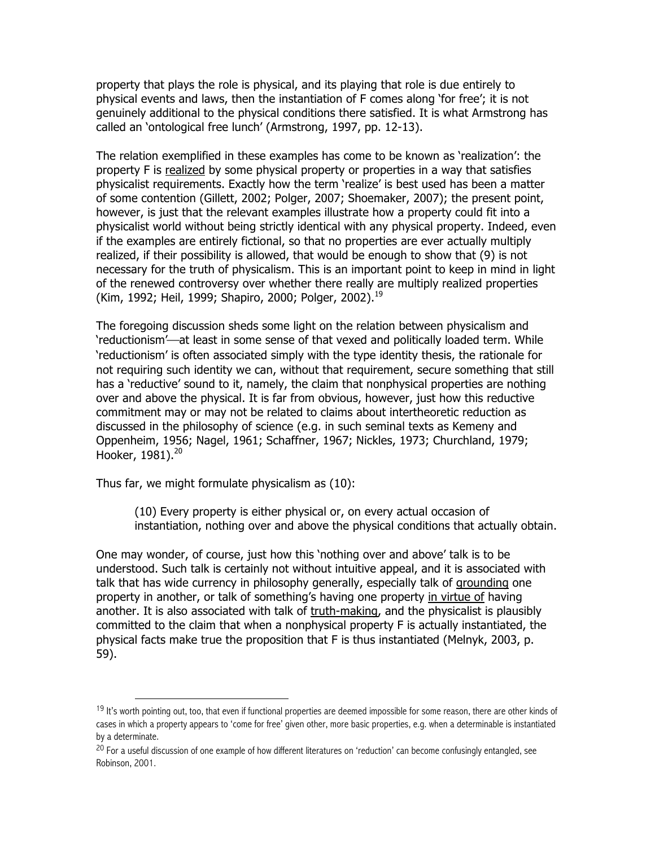property that plays the role is physical, and its playing that role is due entirely to physical events and laws, then the instantiation of F comes along 'for free'; it is not genuinely additional to the physical conditions there satisfied. It is what Armstrong has called an 'ontological free lunch' (Armstrong, 1997, pp. 12-13).

The relation exemplified in these examples has come to be known as 'realization': the property F is realized by some physical property or properties in a way that satisfies physicalist requirements. Exactly how the term 'realize' is best used has been a matter of some contention (Gillett, 2002; Polger, 2007; Shoemaker, 2007); the present point, however, is just that the relevant examples illustrate how a property could fit into a physicalist world without being strictly identical with any physical property. Indeed, even if the examples are entirely fictional, so that no properties are ever actually multiply realized, if their possibility is allowed, that would be enough to show that (9) is not necessary for the truth of physicalism. This is an important point to keep in mind in light of the renewed controversy over whether there really are multiply realized properties (Kim, 1992; Heil, 1999; Shapiro, 2000; Polger, 2002).<sup>19</sup>

The foregoing discussion sheds some light on the relation between physicalism and 'reductionism'—at least in some sense of that vexed and politically loaded term. While 'reductionism' is often associated simply with the type identity thesis, the rationale for not requiring such identity we can, without that requirement, secure something that still has a 'reductive' sound to it, namely, the claim that nonphysical properties are nothing over and above the physical. It is far from obvious, however, just how this reductive commitment may or may not be related to claims about intertheoretic reduction as discussed in the philosophy of science (e.g. in such seminal texts as Kemeny and Oppenheim, 1956; Nagel, 1961; Schaffner, 1967; Nickles, 1973; Churchland, 1979; Hooker, 1981).<sup>20</sup>

Thus far, we might formulate physicalism as (10):

i<br>L

(10) Every property is either physical or, on every actual occasion of instantiation, nothing over and above the physical conditions that actually obtain.

One may wonder, of course, just how this 'nothing over and above' talk is to be understood. Such talk is certainly not without intuitive appeal, and it is associated with talk that has wide currency in philosophy generally, especially talk of grounding one property in another, or talk of something's having one property in virtue of having another. It is also associated with talk of truth-making, and the physicalist is plausibly committed to the claim that when a nonphysical property F is actually instantiated, the physical facts make true the proposition that F is thus instantiated (Melnyk, 2003, p. 59).

 $19$  It's worth pointing out, too, that even if functional properties are deemed impossible for some reason, there are other kinds of cases in which a property appears to 'come for free' given other, more basic properties, e.g. when a determinable is instantiated by a determinate.

<sup>&</sup>lt;sup>20</sup> For a useful discussion of one example of how different literatures on 'reduction' can become confusingly entangled, see Robinson, 2001.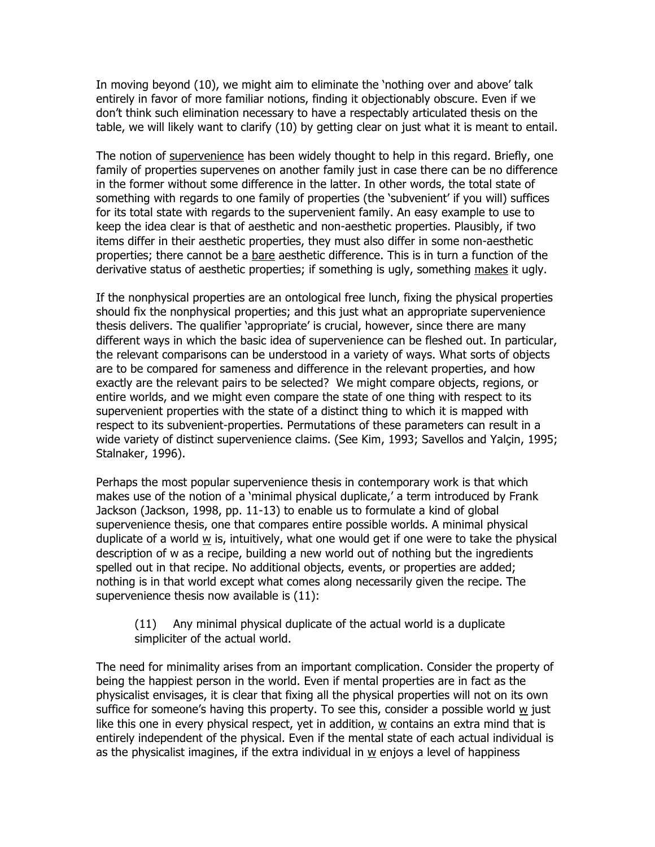In moving beyond (10), we might aim to eliminate the 'nothing over and above' talk entirely in favor of more familiar notions, finding it objectionably obscure. Even if we don't think such elimination necessary to have a respectably articulated thesis on the table, we will likely want to clarify (10) by getting clear on just what it is meant to entail.

The notion of supervenience has been widely thought to help in this regard. Briefly, one family of properties supervenes on another family just in case there can be no difference in the former without some difference in the latter. In other words, the total state of something with regards to one family of properties (the 'subvenient' if you will) suffices for its total state with regards to the supervenient family. An easy example to use to keep the idea clear is that of aesthetic and non-aesthetic properties. Plausibly, if two items differ in their aesthetic properties, they must also differ in some non-aesthetic properties; there cannot be a bare aesthetic difference. This is in turn a function of the derivative status of aesthetic properties; if something is ugly, something makes it ugly.

If the nonphysical properties are an ontological free lunch, fixing the physical properties should fix the nonphysical properties; and this just what an appropriate supervenience thesis delivers. The qualifier 'appropriate' is crucial, however, since there are many different ways in which the basic idea of supervenience can be fleshed out. In particular, the relevant comparisons can be understood in a variety of ways. What sorts of objects are to be compared for sameness and difference in the relevant properties, and how exactly are the relevant pairs to be selected? We might compare objects, regions, or entire worlds, and we might even compare the state of one thing with respect to its supervenient properties with the state of a distinct thing to which it is mapped with respect to its subvenient-properties. Permutations of these parameters can result in a wide variety of distinct supervenience claims. (See Kim, 1993; Savellos and Yalçin, 1995; Stalnaker, 1996).

Perhaps the most popular supervenience thesis in contemporary work is that which makes use of the notion of a 'minimal physical duplicate,' a term introduced by Frank Jackson (Jackson, 1998, pp. 11-13) to enable us to formulate a kind of global supervenience thesis, one that compares entire possible worlds. A minimal physical duplicate of a world w is, intuitively, what one would get if one were to take the physical description of w as a recipe, building a new world out of nothing but the ingredients spelled out in that recipe. No additional objects, events, or properties are added; nothing is in that world except what comes along necessarily given the recipe. The supervenience thesis now available is  $(11)$ :

(11) Any minimal physical duplicate of the actual world is a duplicate simpliciter of the actual world.

The need for minimality arises from an important complication. Consider the property of being the happiest person in the world. Even if mental properties are in fact as the physicalist envisages, it is clear that fixing all the physical properties will not on its own suffice for someone's having this property. To see this, consider a possible world w just like this one in every physical respect, yet in addition, w contains an extra mind that is entirely independent of the physical. Even if the mental state of each actual individual is as the physicalist imagines, if the extra individual in  $w$  enjoys a level of happiness</u>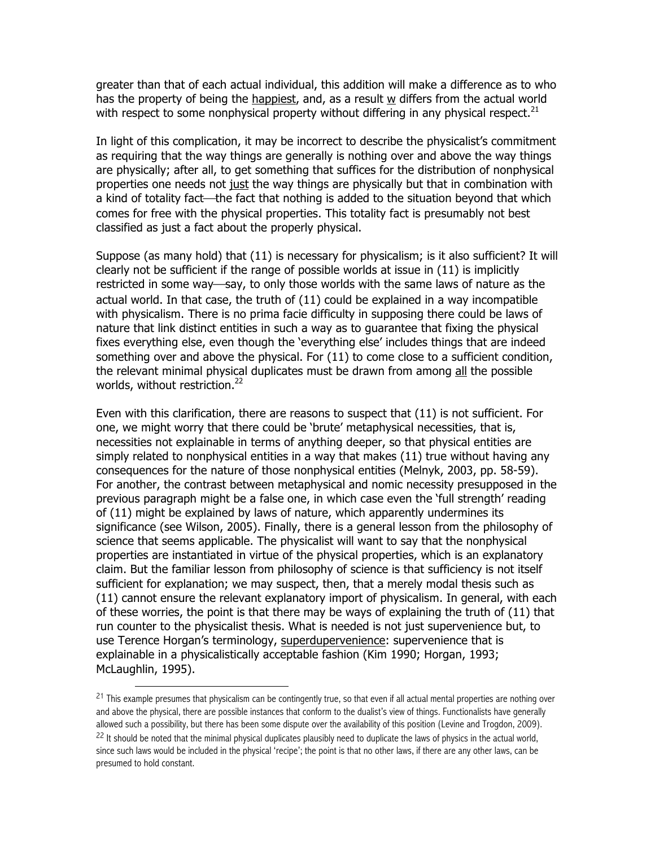greater than that of each actual individual, this addition will make a difference as to who has the property of being the happiest, and, as a result w differs from the actual world with respect to some nonphysical property without differing in any physical respect. $^{21}$ 

In light of this complication, it may be incorrect to describe the physicalist's commitment as requiring that the way things are generally is nothing over and above the way things are physically; after all, to get something that suffices for the distribution of nonphysical properties one needs not just the way things are physically but that in combination with a kind of totality fact—the fact that nothing is added to the situation beyond that which comes for free with the physical properties. This totality fact is presumably not best classified as just a fact about the properly physical.

Suppose (as many hold) that (11) is necessary for physicalism; is it also sufficient? It will clearly not be sufficient if the range of possible worlds at issue in (11) is implicitly restricted in some way—say, to only those worlds with the same laws of nature as the actual world. In that case, the truth of (11) could be explained in a way incompatible with physicalism. There is no prima facie difficulty in supposing there could be laws of nature that link distinct entities in such a way as to guarantee that fixing the physical fixes everything else, even though the 'everything else' includes things that are indeed something over and above the physical. For (11) to come close to a sufficient condition, the relevant minimal physical duplicates must be drawn from among all the possible worlds, without restriction.<sup>22</sup>

Even with this clarification, there are reasons to suspect that (11) is not sufficient. For one, we might worry that there could be 'brute' metaphysical necessities, that is, necessities not explainable in terms of anything deeper, so that physical entities are simply related to nonphysical entities in a way that makes (11) true without having any consequences for the nature of those nonphysical entities (Melnyk, 2003, pp. 58-59). For another, the contrast between metaphysical and nomic necessity presupposed in the previous paragraph might be a false one, in which case even the 'full strength' reading of (11) might be explained by laws of nature, which apparently undermines its significance (see Wilson, 2005). Finally, there is a general lesson from the philosophy of science that seems applicable. The physicalist will want to say that the nonphysical properties are instantiated in virtue of the physical properties, which is an explanatory claim. But the familiar lesson from philosophy of science is that sufficiency is not itself sufficient for explanation; we may suspect, then, that a merely modal thesis such as (11) cannot ensure the relevant explanatory import of physicalism. In general, with each of these worries, the point is that there may be ways of explaining the truth of (11) that run counter to the physicalist thesis. What is needed is not just supervenience but, to use Terence Horgan's terminology, superdupervenience: supervenience that is explainable in a physicalistically acceptable fashion (Kim 1990; Horgan, 1993; McLaughlin, 1995).

 $21$  This example presumes that physicalism can be contingently true, so that even if all actual mental properties are nothing over and above the physical, there are possible instances that conform to the dualist's view of things. Functionalists have generally allowed such a possibility, but there has been some dispute over the availability of this position (Levine and Trogdon, 2009).  $22$  It should be noted that the minimal physical duplicates plausibly need to duplicate the laws of physics in the actual world, since such laws would be included in the physical 'recipe'; the point is that no other laws, if there are any other laws, can be presumed to hold constant.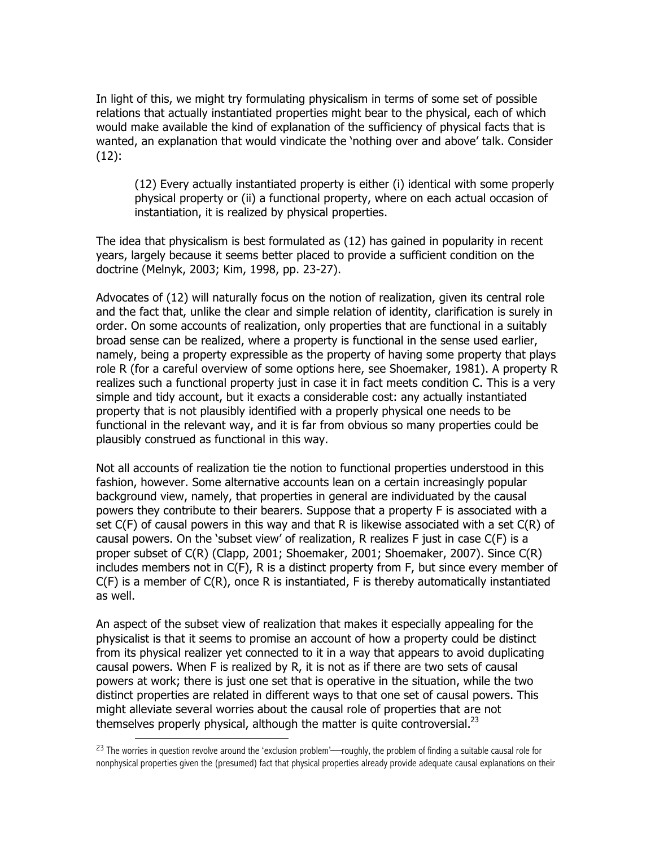In light of this, we might try formulating physicalism in terms of some set of possible relations that actually instantiated properties might bear to the physical, each of which would make available the kind of explanation of the sufficiency of physical facts that is wanted, an explanation that would vindicate the 'nothing over and above' talk. Consider (12):

(12) Every actually instantiated property is either (i) identical with some properly physical property or (ii) a functional property, where on each actual occasion of instantiation, it is realized by physical properties.

The idea that physicalism is best formulated as (12) has gained in popularity in recent years, largely because it seems better placed to provide a sufficient condition on the doctrine (Melnyk, 2003; Kim, 1998, pp. 23-27).

Advocates of (12) will naturally focus on the notion of realization, given its central role and the fact that, unlike the clear and simple relation of identity, clarification is surely in order. On some accounts of realization, only properties that are functional in a suitably broad sense can be realized, where a property is functional in the sense used earlier, namely, being a property expressible as the property of having some property that plays role R (for a careful overview of some options here, see Shoemaker, 1981). A property R realizes such a functional property just in case it in fact meets condition C. This is a very simple and tidy account, but it exacts a considerable cost: any actually instantiated property that is not plausibly identified with a properly physical one needs to be functional in the relevant way, and it is far from obvious so many properties could be plausibly construed as functional in this way.

Not all accounts of realization tie the notion to functional properties understood in this fashion, however. Some alternative accounts lean on a certain increasingly popular background view, namely, that properties in general are individuated by the causal powers they contribute to their bearers. Suppose that a property F is associated with a set C(F) of causal powers in this way and that R is likewise associated with a set C(R) of causal powers. On the 'subset view' of realization, R realizes  $F$  just in case  $C(F)$  is a proper subset of C(R) (Clapp, 2001; Shoemaker, 2001; Shoemaker, 2007). Since C(R) includes members not in C(F), R is a distinct property from F, but since every member of  $C(F)$  is a member of  $C(R)$ , once R is instantiated, F is thereby automatically instantiated as well.

An aspect of the subset view of realization that makes it especially appealing for the physicalist is that it seems to promise an account of how a property could be distinct from its physical realizer yet connected to it in a way that appears to avoid duplicating causal powers. When F is realized by R, it is not as if there are two sets of causal powers at work; there is just one set that is operative in the situation, while the two distinct properties are related in different ways to that one set of causal powers. This might alleviate several worries about the causal role of properties that are not themselves properly physical, although the matter is quite controversial. $^{23}$ 

 $^{23}$  The worries in question revolve around the 'exclusion problem'—roughly, the problem of finding a suitable causal role for nonphysical properties given the (presumed) fact that physical properties already provide adequate causal explanations on their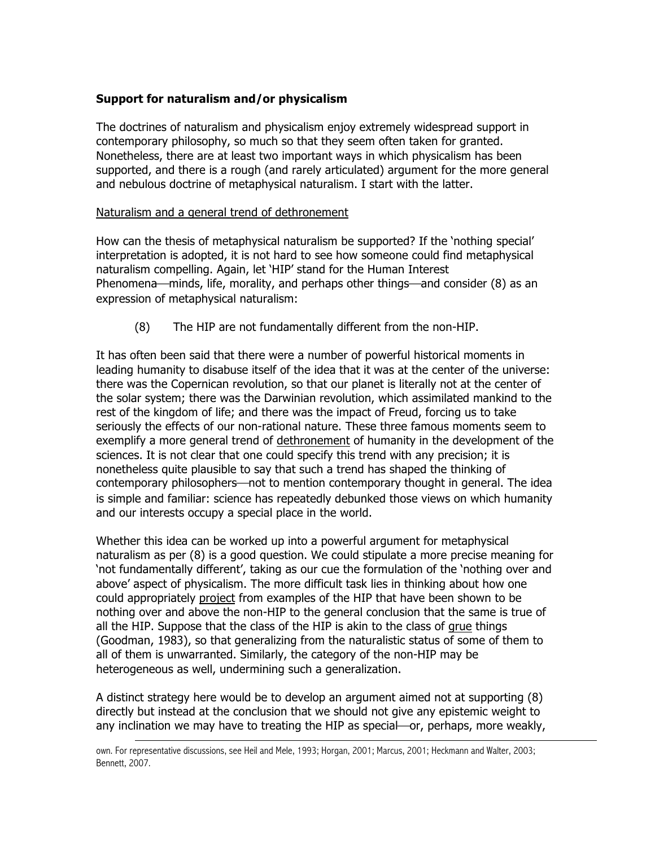# **Support for naturalism and/or physicalism**

The doctrines of naturalism and physicalism enjoy extremely widespread support in contemporary philosophy, so much so that they seem often taken for granted. Nonetheless, there are at least two important ways in which physicalism has been supported, and there is a rough (and rarely articulated) argument for the more general and nebulous doctrine of metaphysical naturalism. I start with the latter.

### Naturalism and a general trend of dethronement

How can the thesis of metaphysical naturalism be supported? If the 'nothing special' interpretation is adopted, it is not hard to see how someone could find metaphysical naturalism compelling. Again, let 'HIP' stand for the Human Interest Phenomena—minds, life, morality, and perhaps other things—and consider (8) as an expression of metaphysical naturalism:

(8) The HIP are not fundamentally different from the non-HIP.

It has often been said that there were a number of powerful historical moments in leading humanity to disabuse itself of the idea that it was at the center of the universe: there was the Copernican revolution, so that our planet is literally not at the center of the solar system; there was the Darwinian revolution, which assimilated mankind to the rest of the kingdom of life; and there was the impact of Freud, forcing us to take seriously the effects of our non-rational nature. These three famous moments seem to exemplify a more general trend of dethronement of humanity in the development of the sciences. It is not clear that one could specify this trend with any precision; it is nonetheless quite plausible to say that such a trend has shaped the thinking of contemporary philosophers—not to mention contemporary thought in general. The idea is simple and familiar: science has repeatedly debunked those views on which humanity and our interests occupy a special place in the world.

Whether this idea can be worked up into a powerful argument for metaphysical naturalism as per (8) is a good question. We could stipulate a more precise meaning for 'not fundamentally different', taking as our cue the formulation of the 'nothing over and above' aspect of physicalism. The more difficult task lies in thinking about how one could appropriately project from examples of the HIP that have been shown to be nothing over and above the non-HIP to the general conclusion that the same is true of all the HIP. Suppose that the class of the HIP is akin to the class of grue things (Goodman, 1983), so that generalizing from the naturalistic status of some of them to all of them is unwarranted. Similarly, the category of the non-HIP may be heterogeneous as well, undermining such a generalization.

A distinct strategy here would be to develop an argument aimed not at supporting (8) directly but instead at the conclusion that we should not give any epistemic weight to any inclination we may have to treating the HIP as special—or, perhaps, more weakly,

i<br>L own. For representative discussions, see Heil and Mele, 1993; Horgan, 2001; Marcus, 2001; Heckmann and Walter, 2003; Bennett, 2007.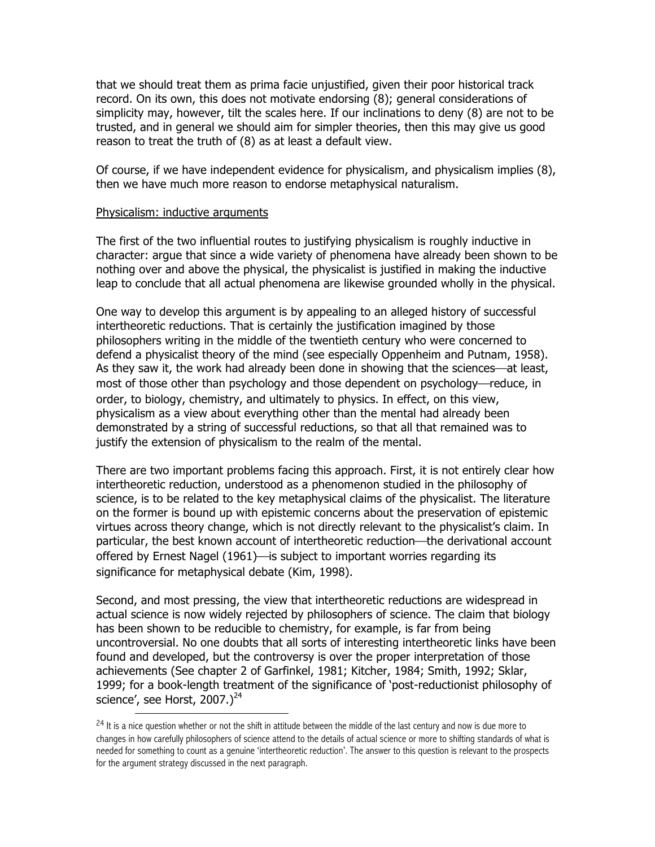that we should treat them as prima facie unjustified, given their poor historical track record. On its own, this does not motivate endorsing (8); general considerations of simplicity may, however, tilt the scales here. If our inclinations to deny (8) are not to be trusted, and in general we should aim for simpler theories, then this may give us good reason to treat the truth of (8) as at least a default view.

Of course, if we have independent evidence for physicalism, and physicalism implies (8), then we have much more reason to endorse metaphysical naturalism.

#### Physicalism: inductive arguments

i<br>L

The first of the two influential routes to justifying physicalism is roughly inductive in character: argue that since a wide variety of phenomena have already been shown to be nothing over and above the physical, the physicalist is justified in making the inductive leap to conclude that all actual phenomena are likewise grounded wholly in the physical.

One way to develop this argument is by appealing to an alleged history of successful intertheoretic reductions. That is certainly the justification imagined by those philosophers writing in the middle of the twentieth century who were concerned to defend a physicalist theory of the mind (see especially Oppenheim and Putnam, 1958). As they saw it, the work had already been done in showing that the sciences—at least, most of those other than psychology and those dependent on psychology—reduce, in order, to biology, chemistry, and ultimately to physics. In effect, on this view, physicalism as a view about everything other than the mental had already been demonstrated by a string of successful reductions, so that all that remained was to justify the extension of physicalism to the realm of the mental.

There are two important problems facing this approach. First, it is not entirely clear how intertheoretic reduction, understood as a phenomenon studied in the philosophy of science, is to be related to the key metaphysical claims of the physicalist. The literature on the former is bound up with epistemic concerns about the preservation of epistemic virtues across theory change, which is not directly relevant to the physicalist's claim. In particular, the best known account of intertheoretic reduction—the derivational account offered by Ernest Nagel (1961)—is subject to important worries regarding its significance for metaphysical debate (Kim, 1998).

Second, and most pressing, the view that intertheoretic reductions are widespread in actual science is now widely rejected by philosophers of science. The claim that biology has been shown to be reducible to chemistry, for example, is far from being uncontroversial. No one doubts that all sorts of interesting intertheoretic links have been found and developed, but the controversy is over the proper interpretation of those achievements (See chapter 2 of Garfinkel, 1981; Kitcher, 1984; Smith, 1992; Sklar, 1999; for a book-length treatment of the significance of 'post-reductionist philosophy of science', see Horst, 2007.) $^{24}$ 

 $^{24}$  It is a nice question whether or not the shift in attitude between the middle of the last century and now is due more to changes in how carefully philosophers of science attend to the details of actual science or more to shifting standards of what is needed for something to count as a genuine 'intertheoretic reduction'. The answer to this question is relevant to the prospects for the argument strategy discussed in the next paragraph.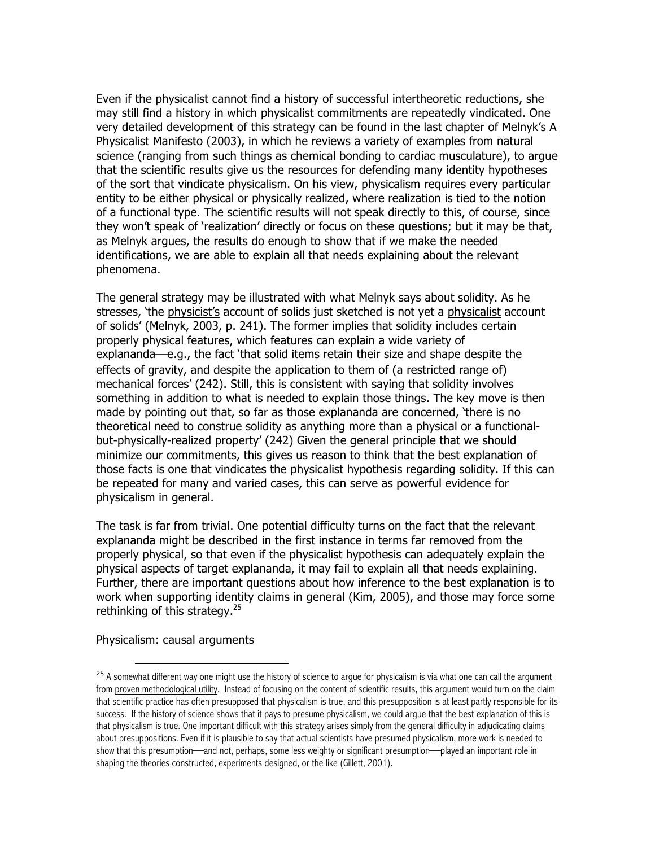Even if the physicalist cannot find a history of successful intertheoretic reductions, she may still find a history in which physicalist commitments are repeatedly vindicated. One very detailed development of this strategy can be found in the last chapter of Melnyk's A Physicalist Manifesto (2003), in which he reviews a variety of examples from natural science (ranging from such things as chemical bonding to cardiac musculature), to argue that the scientific results give us the resources for defending many identity hypotheses of the sort that vindicate physicalism. On his view, physicalism requires every particular entity to be either physical or physically realized, where realization is tied to the notion of a functional type. The scientific results will not speak directly to this, of course, since they won't speak of 'realization' directly or focus on these questions; but it may be that, as Melnyk argues, the results do enough to show that if we make the needed identifications, we are able to explain all that needs explaining about the relevant phenomena.

The general strategy may be illustrated with what Melnyk says about solidity. As he stresses, 'the physicist's account of solids just sketched is not yet a physicalist account of solids' (Melnyk, 2003, p. 241). The former implies that solidity includes certain properly physical features, which features can explain a wide variety of explananda—e.g., the fact 'that solid items retain their size and shape despite the effects of gravity, and despite the application to them of (a restricted range of) mechanical forces' (242). Still, this is consistent with saying that solidity involves something in addition to what is needed to explain those things. The key move is then made by pointing out that, so far as those explananda are concerned, 'there is no theoretical need to construe solidity as anything more than a physical or a functionalbut-physically-realized property' (242) Given the general principle that we should minimize our commitments, this gives us reason to think that the best explanation of those facts is one that vindicates the physicalist hypothesis regarding solidity. If this can be repeated for many and varied cases, this can serve as powerful evidence for physicalism in general.

The task is far from trivial. One potential difficulty turns on the fact that the relevant explananda might be described in the first instance in terms far removed from the properly physical, so that even if the physicalist hypothesis can adequately explain the physical aspects of target explananda, it may fail to explain all that needs explaining. Further, there are important questions about how inference to the best explanation is to work when supporting identity claims in general (Kim, 2005), and those may force some rethinking of this strategy.<sup>25</sup>

### Physicalism: causal arguments

 $25$  A somewhat different way one might use the history of science to argue for physicalism is via what one can call the argument from proven methodological utility. Instead of focusing on the content of scientific results, this argument would turn on the claim that scientific practice has often presupposed that physicalism is true, and this presupposition is at least partly responsible for its success. If the history of science shows that it pays to presume physicalism, we could argue that the best explanation of this is that physicalism is true. One important difficult with this strategy arises simply from the general difficulty in adjudicating claims about presuppositions. Even if it is plausible to say that actual scientists have presumed physicalism, more work is needed to show that this presumption—and not, perhaps, some less weighty or significant presumption—played an important role in shaping the theories constructed, experiments designed, or the like (Gillett, 2001).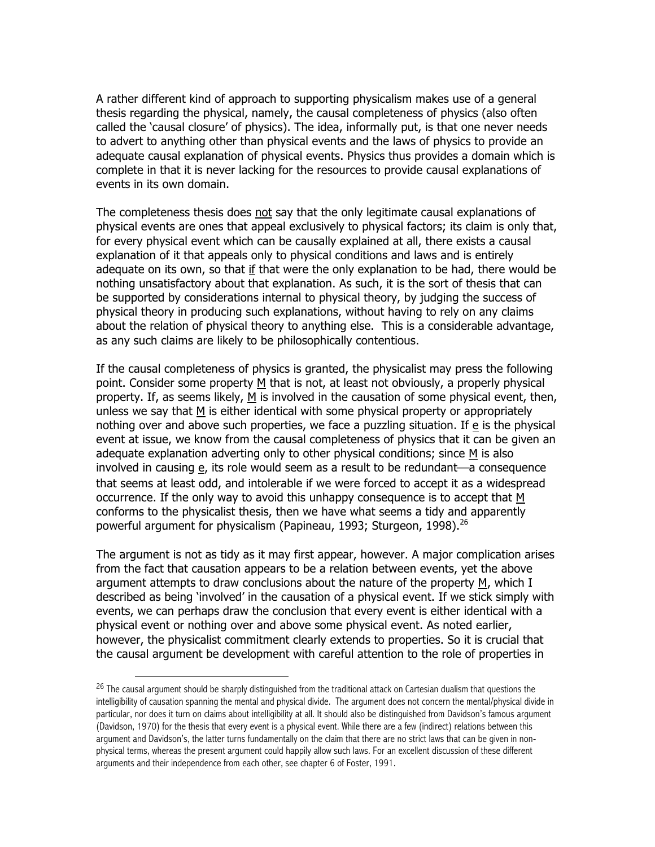A rather different kind of approach to supporting physicalism makes use of a general thesis regarding the physical, namely, the causal completeness of physics (also often called the 'causal closure' of physics). The idea, informally put, is that one never needs to advert to anything other than physical events and the laws of physics to provide an adequate causal explanation of physical events. Physics thus provides a domain which is complete in that it is never lacking for the resources to provide causal explanations of events in its own domain.

The completeness thesis does not say that the only legitimate causal explanations of physical events are ones that appeal exclusively to physical factors; its claim is only that, for every physical event which can be causally explained at all, there exists a causal explanation of it that appeals only to physical conditions and laws and is entirely adequate on its own, so that if that were the only explanation to be had, there would be nothing unsatisfactory about that explanation. As such, it is the sort of thesis that can be supported by considerations internal to physical theory, by judging the success of physical theory in producing such explanations, without having to rely on any claims about the relation of physical theory to anything else. This is a considerable advantage, as any such claims are likely to be philosophically contentious.

If the causal completeness of physics is granted, the physicalist may press the following point. Consider some property M that is not, at least not obviously, a properly physical property. If, as seems likely, M is involved in the causation of some physical event, then, unless we say that M is either identical with some physical property or appropriately nothing over and above such properties, we face a puzzling situation. If e is the physical event at issue, we know from the causal completeness of physics that it can be given an adequate explanation adverting only to other physical conditions; since M is also involved in causing e, its role would seem as a result to be redundant—a consequence that seems at least odd, and intolerable if we were forced to accept it as a widespread occurrence. If the only way to avoid this unhappy consequence is to accept that M conforms to the physicalist thesis, then we have what seems a tidy and apparently powerful argument for physicalism (Papineau, 1993; Sturgeon, 1998).<sup>26</sup>

The argument is not as tidy as it may first appear, however. A major complication arises from the fact that causation appears to be a relation between events, yet the above argument attempts to draw conclusions about the nature of the property M, which I described as being 'involved' in the causation of a physical event. If we stick simply with events, we can perhaps draw the conclusion that every event is either identical with a physical event or nothing over and above some physical event. As noted earlier, however, the physicalist commitment clearly extends to properties. So it is crucial that the causal argument be development with careful attention to the role of properties in

<sup>&</sup>lt;sup>26</sup> The causal argument should be sharply distinguished from the traditional attack on Cartesian dualism that questions the intelligibility of causation spanning the mental and physical divide. The argument does not concern the mental/physical divide in particular, nor does it turn on claims about intelligibility at all. It should also be distinguished from Davidson's famous argument (Davidson, 1970) for the thesis that every event is a physical event. While there are a few (indirect) relations between this argument and Davidson's, the latter turns fundamentally on the claim that there are no strict laws that can be given in nonphysical terms, whereas the present argument could happily allow such laws. For an excellent discussion of these different arguments and their independence from each other, see chapter 6 of Foster, 1991.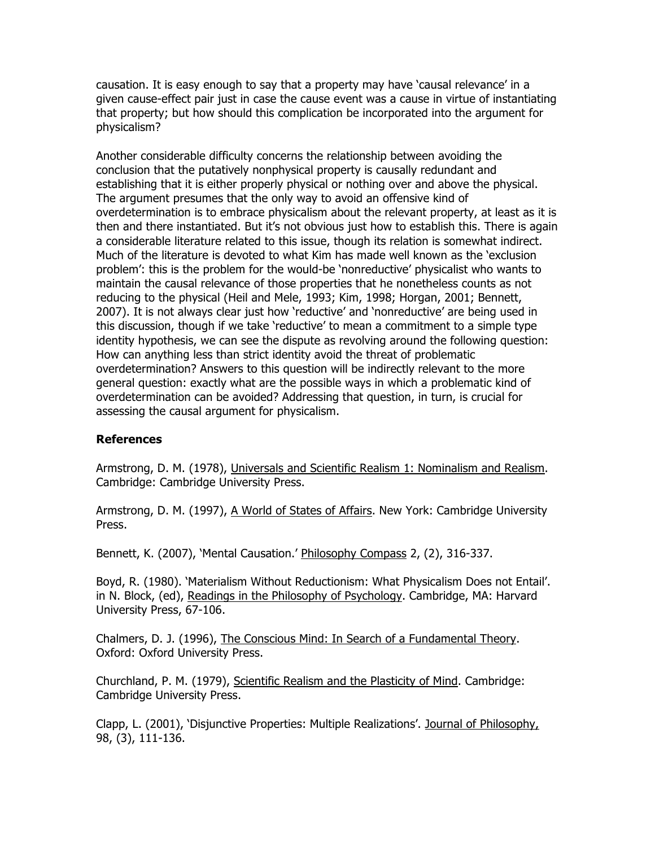causation. It is easy enough to say that a property may have 'causal relevance' in a given cause-effect pair just in case the cause event was a cause in virtue of instantiating that property; but how should this complication be incorporated into the argument for physicalism?

Another considerable difficulty concerns the relationship between avoiding the conclusion that the putatively nonphysical property is causally redundant and establishing that it is either properly physical or nothing over and above the physical. The argument presumes that the only way to avoid an offensive kind of overdetermination is to embrace physicalism about the relevant property, at least as it is then and there instantiated. But it's not obvious just how to establish this. There is again a considerable literature related to this issue, though its relation is somewhat indirect. Much of the literature is devoted to what Kim has made well known as the 'exclusion problem': this is the problem for the would-be 'nonreductive' physicalist who wants to maintain the causal relevance of those properties that he nonetheless counts as not reducing to the physical (Heil and Mele, 1993; Kim, 1998; Horgan, 2001; Bennett, 2007). It is not always clear just how 'reductive' and 'nonreductive' are being used in this discussion, though if we take 'reductive' to mean a commitment to a simple type identity hypothesis, we can see the dispute as revolving around the following question: How can anything less than strict identity avoid the threat of problematic overdetermination? Answers to this question will be indirectly relevant to the more general question: exactly what are the possible ways in which a problematic kind of overdetermination can be avoided? Addressing that question, in turn, is crucial for assessing the causal argument for physicalism.

## **References**

Armstrong, D. M. (1978), Universals and Scientific Realism 1: Nominalism and Realism. Cambridge: Cambridge University Press.

Armstrong, D. M. (1997), A World of States of Affairs. New York: Cambridge University Press.

Bennett, K. (2007), 'Mental Causation.' Philosophy Compass 2, (2), 316-337.

Boyd, R. (1980). 'Materialism Without Reductionism: What Physicalism Does not Entail'. in N. Block, (ed), Readings in the Philosophy of Psychology. Cambridge, MA: Harvard University Press, 67-106.

Chalmers, D. J. (1996), The Conscious Mind: In Search of a Fundamental Theory. Oxford: Oxford University Press.

Churchland, P. M. (1979), Scientific Realism and the Plasticity of Mind. Cambridge: Cambridge University Press.

Clapp, L. (2001), 'Disjunctive Properties: Multiple Realizations'. Journal of Philosophy, 98, (3), 111-136.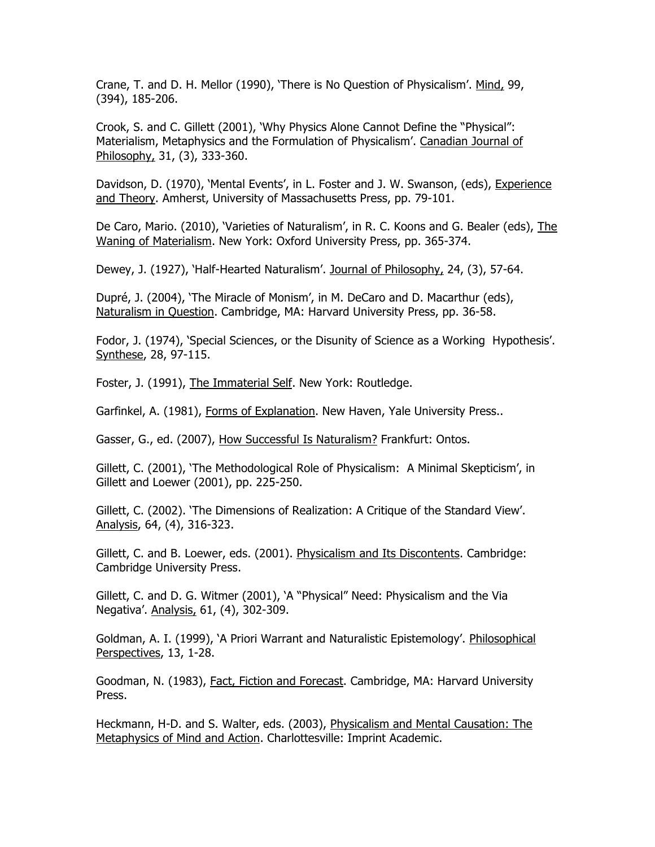Crane, T. and D. H. Mellor (1990), 'There is No Question of Physicalism'. Mind, 99, (394), 185-206.

Crook, S. and C. Gillett (2001), 'Why Physics Alone Cannot Define the "Physical": Materialism, Metaphysics and the Formulation of Physicalism'. Canadian Journal of Philosophy, 31, (3), 333-360.

Davidson, D. (1970), 'Mental Events', in L. Foster and J. W. Swanson, (eds), Experience and Theory. Amherst, University of Massachusetts Press, pp. 79-101.

De Caro, Mario. (2010), 'Varieties of Naturalism', in R. C. Koons and G. Bealer (eds), The Waning of Materialism. New York: Oxford University Press, pp. 365-374.

Dewey, J. (1927), 'Half-Hearted Naturalism'. Journal of Philosophy, 24, (3), 57-64.

Dupré, J. (2004), 'The Miracle of Monism', in M. DeCaro and D. Macarthur (eds), Naturalism in Question. Cambridge, MA: Harvard University Press, pp. 36-58.

Fodor, J. (1974), 'Special Sciences, or the Disunity of Science as a Working Hypothesis'. Synthese, 28, 97-115.

Foster, J. (1991), The Immaterial Self. New York: Routledge.

Garfinkel, A. (1981), Forms of Explanation. New Haven, Yale University Press..

Gasser, G., ed. (2007), How Successful Is Naturalism? Frankfurt: Ontos.

Gillett, C. (2001), 'The Methodological Role of Physicalism: A Minimal Skepticism', in Gillett and Loewer (2001), pp. 225-250.

Gillett, C. (2002). 'The Dimensions of Realization: A Critique of the Standard View'. Analysis, 64, (4), 316-323.

Gillett, C. and B. Loewer, eds. (2001). Physicalism and Its Discontents. Cambridge: Cambridge University Press.

Gillett, C. and D. G. Witmer (2001), 'A "Physical" Need: Physicalism and the Via Negativa'. Analysis, 61, (4), 302-309.

Goldman, A. I. (1999), 'A Priori Warrant and Naturalistic Epistemology'. Philosophical Perspectives, 13, 1-28.

Goodman, N. (1983), Fact, Fiction and Forecast. Cambridge, MA: Harvard University Press.

Heckmann, H-D. and S. Walter, eds. (2003), Physicalism and Mental Causation: The Metaphysics of Mind and Action. Charlottesville: Imprint Academic.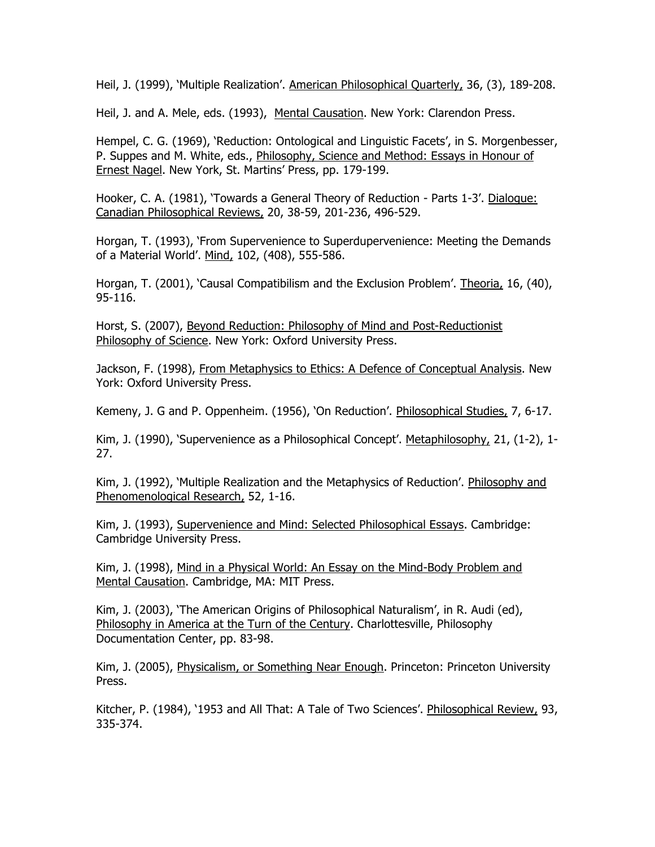Heil, J. (1999), 'Multiple Realization'. American Philosophical Quarterly, 36, (3), 189-208.

Heil, J. and A. Mele, eds. (1993), Mental Causation. New York: Clarendon Press.

Hempel, C. G. (1969), 'Reduction: Ontological and Linguistic Facets', in S. Morgenbesser, P. Suppes and M. White, eds., Philosophy, Science and Method: Essays in Honour of Ernest Nagel. New York, St. Martins' Press, pp. 179-199.

Hooker, C. A. (1981), 'Towards a General Theory of Reduction - Parts 1-3'. Dialogue: Canadian Philosophical Reviews, 20, 38-59, 201-236, 496-529.

Horgan, T. (1993), 'From Supervenience to Superdupervenience: Meeting the Demands of a Material World'. Mind, 102, (408), 555-586.

Horgan, T. (2001), 'Causal Compatibilism and the Exclusion Problem'. Theoria, 16, (40), 95-116.

Horst, S. (2007), Beyond Reduction: Philosophy of Mind and Post-Reductionist Philosophy of Science. New York: Oxford University Press.

Jackson, F. (1998), From Metaphysics to Ethics: A Defence of Conceptual Analysis. New York: Oxford University Press.

Kemeny, J. G and P. Oppenheim. (1956), 'On Reduction'. Philosophical Studies, 7, 6-17.

Kim, J. (1990), 'Supervenience as a Philosophical Concept'. Metaphilosophy, 21, (1-2), 1- 27.

Kim, J. (1992), 'Multiple Realization and the Metaphysics of Reduction'. Philosophy and Phenomenological Research, 52, 1-16.

Kim, J. (1993), Supervenience and Mind: Selected Philosophical Essays. Cambridge: Cambridge University Press.

Kim, J. (1998), Mind in a Physical World: An Essay on the Mind-Body Problem and Mental Causation. Cambridge, MA: MIT Press.

Kim, J. (2003), 'The American Origins of Philosophical Naturalism', in R. Audi (ed), Philosophy in America at the Turn of the Century. Charlottesville, Philosophy Documentation Center, pp. 83-98.

Kim, J. (2005), Physicalism, or Something Near Enough. Princeton: Princeton University Press.

Kitcher, P. (1984), '1953 and All That: A Tale of Two Sciences'. Philosophical Review, 93, 335-374.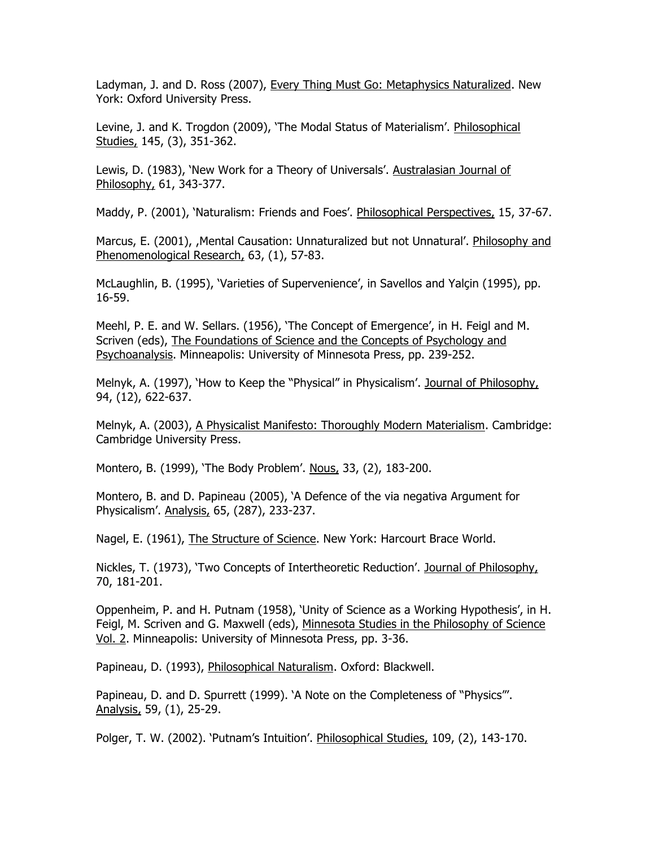Ladyman, J. and D. Ross (2007), Every Thing Must Go: Metaphysics Naturalized. New York: Oxford University Press.

Levine, J. and K. Trogdon (2009), 'The Modal Status of Materialism'. Philosophical Studies, 145, (3), 351-362.

Lewis, D. (1983), 'New Work for a Theory of Universals'. Australasian Journal of Philosophy, 61, 343-377.

Maddy, P. (2001), 'Naturalism: Friends and Foes'. Philosophical Perspectives, 15, 37-67.

Marcus, E. (2001), , Mental Causation: Unnaturalized but not Unnatural'. Philosophy and Phenomenological Research, 63, (1), 57-83.

McLaughlin, B. (1995), 'Varieties of Supervenience', in Savellos and Yalçin (1995), pp. 16-59.

Meehl, P. E. and W. Sellars. (1956), 'The Concept of Emergence', in H. Feigl and M. Scriven (eds), The Foundations of Science and the Concepts of Psychology and Psychoanalysis. Minneapolis: University of Minnesota Press, pp. 239-252.

Melnyk, A. (1997), 'How to Keep the "Physical" in Physicalism'. Journal of Philosophy, 94, (12), 622-637.

Melnyk, A. (2003), A Physicalist Manifesto: Thoroughly Modern Materialism. Cambridge: Cambridge University Press.

Montero, B. (1999), 'The Body Problem'. Nous, 33, (2), 183-200.

Montero, B. and D. Papineau (2005), 'A Defence of the via negativa Argument for Physicalism'. Analysis, 65, (287), 233-237.

Nagel, E. (1961), The Structure of Science. New York: Harcourt Brace World.

Nickles, T. (1973), 'Two Concepts of Intertheoretic Reduction'. Journal of Philosophy, 70, 181-201.

Oppenheim, P. and H. Putnam (1958), 'Unity of Science as a Working Hypothesis', in H. Feigl, M. Scriven and G. Maxwell (eds), Minnesota Studies in the Philosophy of Science Vol. 2. Minneapolis: University of Minnesota Press, pp. 3-36.

Papineau, D. (1993), Philosophical Naturalism. Oxford: Blackwell.

Papineau, D. and D. Spurrett (1999). 'A Note on the Completeness of "Physics"'. Analysis, 59, (1), 25-29.

Polger, T. W. (2002). 'Putnam's Intuition'. Philosophical Studies, 109, (2), 143-170.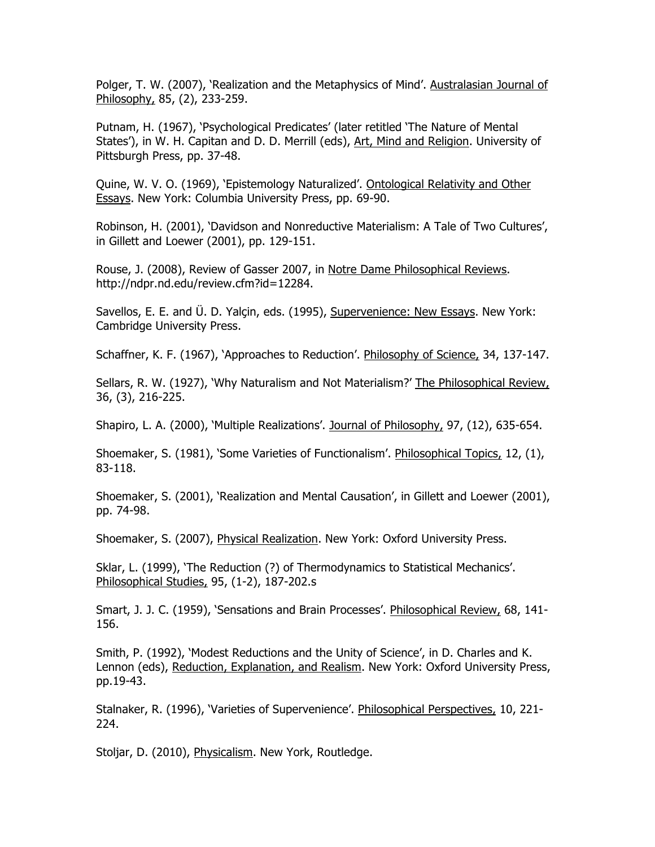Polger, T. W. (2007), 'Realization and the Metaphysics of Mind'. Australasian Journal of Philosophy, 85, (2), 233-259.

Putnam, H. (1967), 'Psychological Predicates' (later retitled 'The Nature of Mental States'), in W. H. Capitan and D. D. Merrill (eds), Art, Mind and Religion. University of Pittsburgh Press, pp. 37-48.

Quine, W. V. O. (1969), 'Epistemology Naturalized'. Ontological Relativity and Other Essays. New York: Columbia University Press, pp. 69-90.

Robinson, H. (2001), 'Davidson and Nonreductive Materialism: A Tale of Two Cultures', in Gillett and Loewer (2001), pp. 129-151.

Rouse, J. (2008), Review of Gasser 2007, in Notre Dame Philosophical Reviews. http://ndpr.nd.edu/review.cfm?id=12284.

Savellos, E. E. and Ü. D. Yalçin, eds. (1995), Supervenience: New Essays. New York: Cambridge University Press.

Schaffner, K. F. (1967), 'Approaches to Reduction'. Philosophy of Science, 34, 137-147.

Sellars, R. W. (1927), 'Why Naturalism and Not Materialism?' The Philosophical Review, 36, (3), 216-225.

Shapiro, L. A. (2000), 'Multiple Realizations'. Journal of Philosophy, 97, (12), 635-654.

Shoemaker, S. (1981), 'Some Varieties of Functionalism'. Philosophical Topics, 12, (1), 83-118.

Shoemaker, S. (2001), 'Realization and Mental Causation', in Gillett and Loewer (2001), pp. 74-98.

Shoemaker, S. (2007), Physical Realization. New York: Oxford University Press.

Sklar, L. (1999), 'The Reduction (?) of Thermodynamics to Statistical Mechanics'. Philosophical Studies, 95, (1-2), 187-202.s

Smart, J. J. C. (1959), 'Sensations and Brain Processes'. Philosophical Review, 68, 141- 156.

Smith, P. (1992), 'Modest Reductions and the Unity of Science', in D. Charles and K. Lennon (eds), Reduction, Explanation, and Realism. New York: Oxford University Press, pp.19-43.

Stalnaker, R. (1996), 'Varieties of Supervenience'. Philosophical Perspectives, 10, 221- 224.

Stoljar, D. (2010), Physicalism. New York, Routledge.